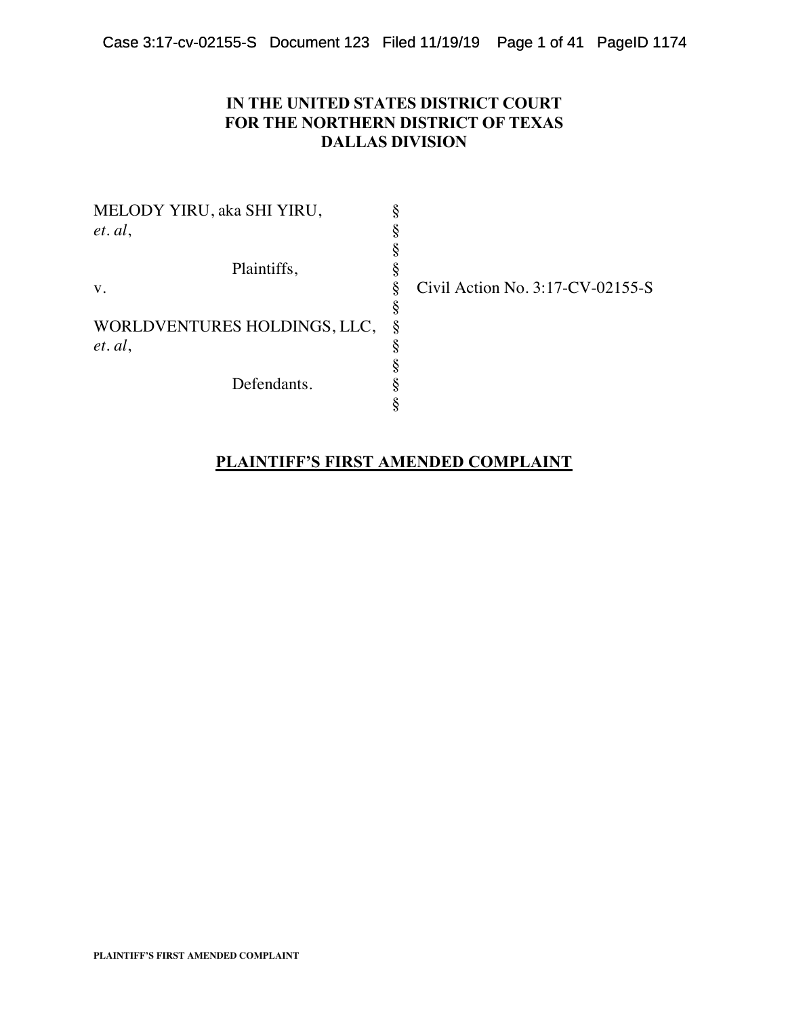# **IN THE UNITED STATES DISTRICT COURT FOR THE NORTHERN DISTRICT OF TEXAS DALLAS DIVISION**

MELODY YIRU, aka SHI YIRU, *et. al.*  § Plaintiffs, v. § Civil Action No. 3:17-CV-02155-S § WORLDVENTURES HOLDINGS, LLC, *et. al.*  § Defendants.

# **PLAINTIFF'S FIRST AMENDED COMPLAINT**

§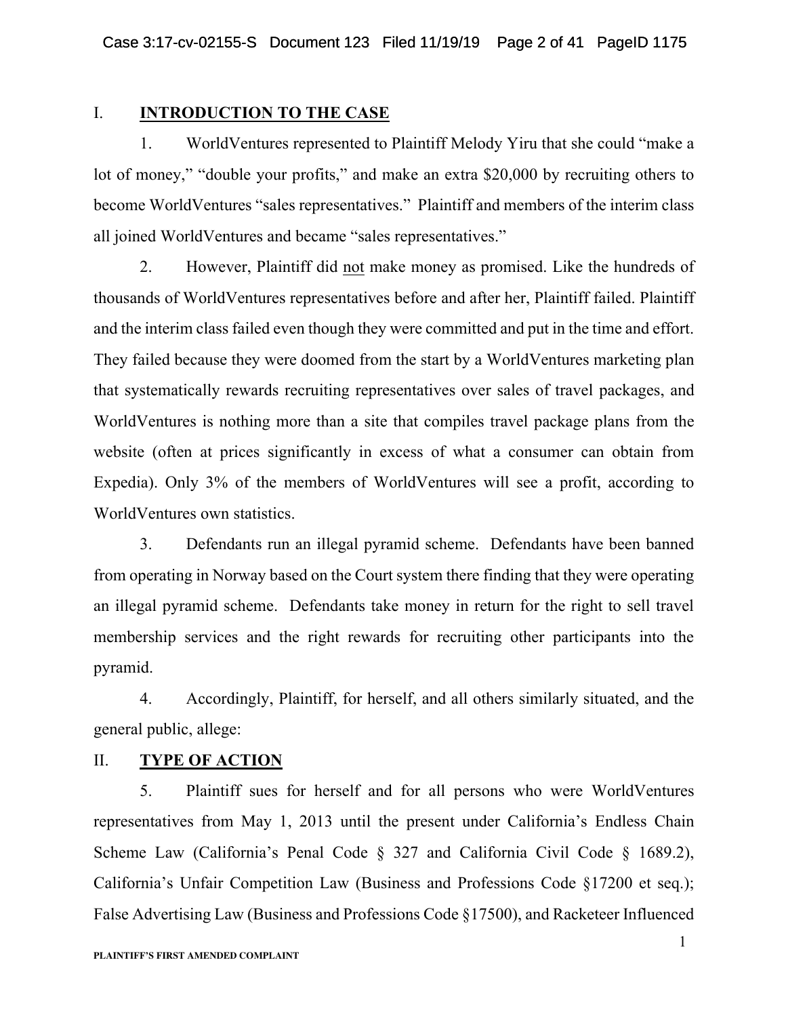### I. **INTRODUCTION TO THE CASE**

1. WorldVentures represented to Plaintiff Melody Yiru that she could "make a lot of money," "double your profits," and make an extra \$20,000 by recruiting others to become WorldVentures "sales representatives." Plaintiff and members of the interim class all joined WorldVentures and became "sales representatives."

2. However, Plaintiff did not make money as promised. Like the hundreds of thousands of WorldVentures representatives before and after her, Plaintiff failed. Plaintiff and the interim class failed even though they were committed and put in the time and effort. They failed because they were doomed from the start by a WorldVentures marketing plan that systematically rewards recruiting representatives over sales of travel packages, and WorldVentures is nothing more than a site that compiles travel package plans from the website (often at prices significantly in excess of what a consumer can obtain from Expedia). Only 3% of the members of WorldVentures will see a profit, according to WorldVentures own statistics.

3. Defendants run an illegal pyramid scheme. Defendants have been banned from operating in Norway based on the Court system there finding that they were operating an illegal pyramid scheme. Defendants take money in return for the right to sell travel membership services and the right rewards for recruiting other participants into the pyramid.

4. Accordingly, Plaintiff, for herself, and all others similarly situated, and the general public, allege:

## II. **TYPE OF ACTION**

5. Plaintiff sues for herself and for all persons who were WorldVentures representatives from May 1, 2013 until the present under California's Endless Chain Scheme Law (California's Penal Code § 327 and California Civil Code § 1689.2), California's Unfair Competition Law (Business and Professions Code §17200 et seq.); False Advertising Law (Business and Professions Code §17500), and Racketeer Influenced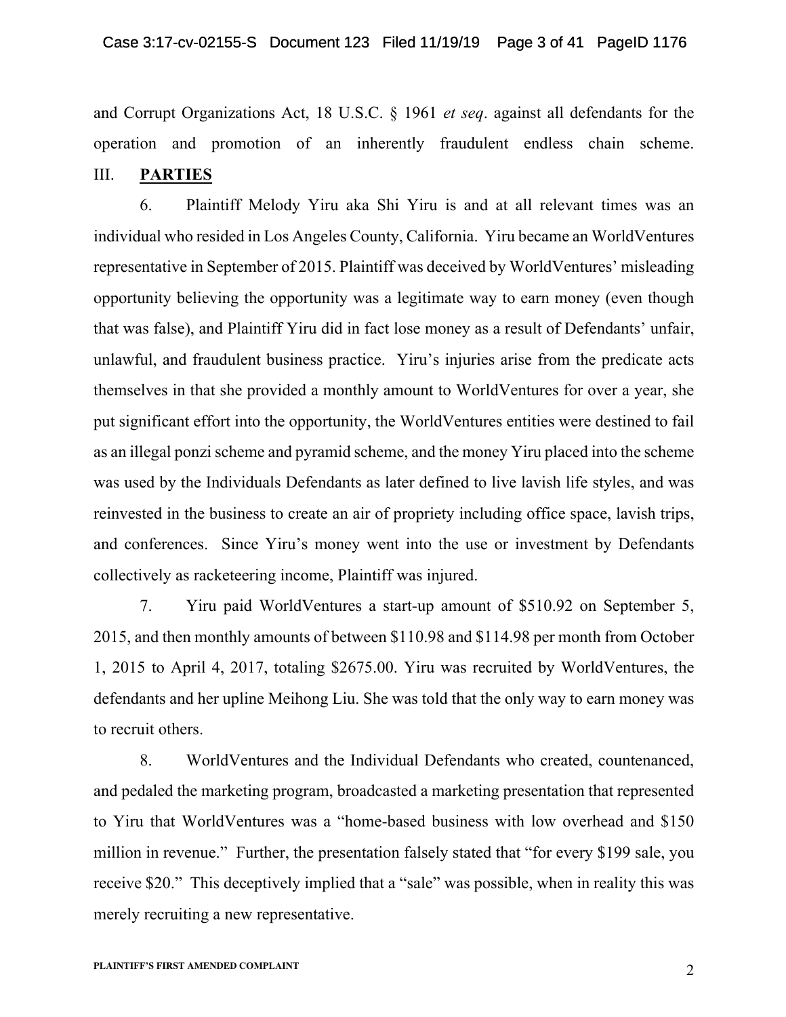and Corrupt Organizations Act, 18 U.S.C. § 1961 *et seq*. against all defendants for the operation and promotion of an inherently fraudulent endless chain scheme. III. **PARTIES**

6. Plaintiff Melody Yiru aka Shi Yiru is and at all relevant times was an individual who resided in Los Angeles County, California. Yiru became an WorldVentures representative in September of 2015. Plaintiff was deceived by WorldVentures' misleading opportunity believing the opportunity was a legitimate way to earn money (even though that was false), and Plaintiff Yiru did in fact lose money as a result of Defendants' unfair, unlawful, and fraudulent business practice. Yiru's injuries arise from the predicate acts themselves in that she provided a monthly amount to WorldVentures for over a year, she put significant effort into the opportunity, the WorldVentures entities were destined to fail as an illegal ponzi scheme and pyramid scheme, and the money Yiru placed into the scheme was used by the Individuals Defendants as later defined to live lavish life styles, and was reinvested in the business to create an air of propriety including office space, lavish trips, and conferences. Since Yiru's money went into the use or investment by Defendants collectively as racketeering income, Plaintiff was injured.

7. Yiru paid WorldVentures a start-up amount of \$510.92 on September 5, 2015, and then monthly amounts of between \$110.98 and \$114.98 per month from October 1, 2015 to April 4, 2017, totaling \$2675.00. Yiru was recruited by WorldVentures, the defendants and her upline Meihong Liu. She was told that the only way to earn money was to recruit others.

8. WorldVentures and the Individual Defendants who created, countenanced, and pedaled the marketing program, broadcasted a marketing presentation that represented to Yiru that WorldVentures was a "home-based business with low overhead and \$150 million in revenue." Further, the presentation falsely stated that "for every \$199 sale, you receive \$20." This deceptively implied that a "sale" was possible, when in reality this was merely recruiting a new representative.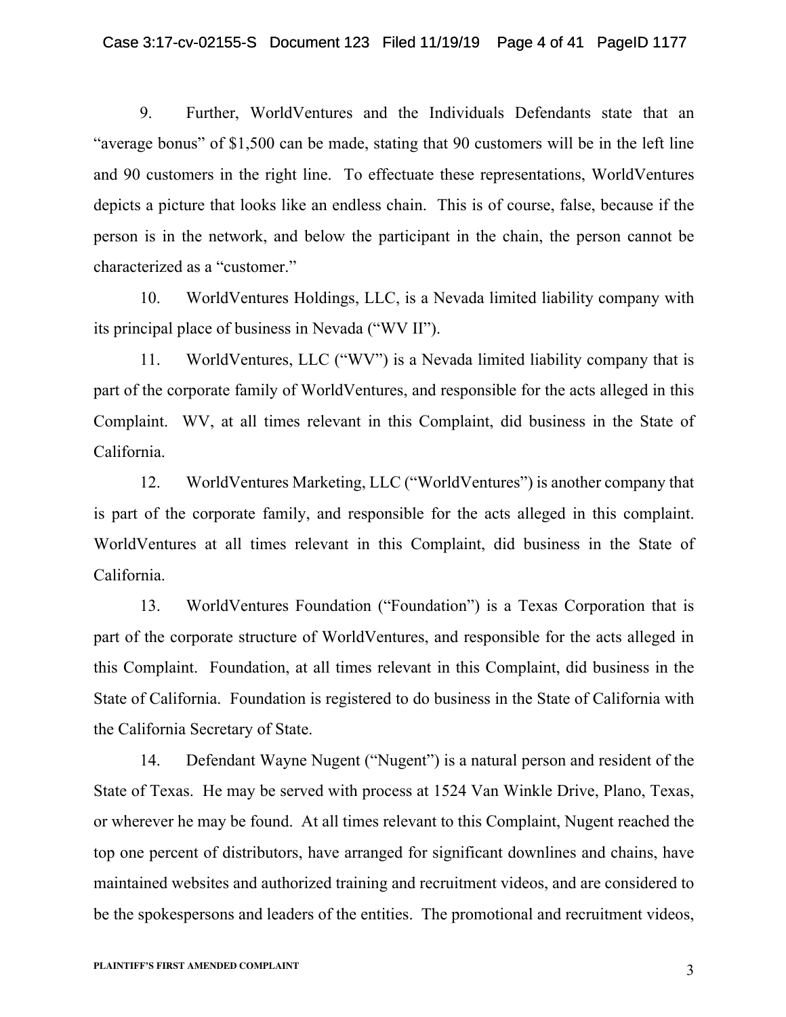#### Case 3:17-cv-02155-S Document 123 Filed 11/19/19 Page 4 of 41 PageID 1177

9. Further, WorldVentures and the Individuals Defendants state that an "average bonus" of \$1,500 can be made, stating that 90 customers will be in the left line and 90 customers in the right line. To effectuate these representations, WorldVentures depicts a picture that looks like an endless chain. This is of course, false, because if the person is in the network, and below the participant in the chain, the person cannot be characterized as a "customer."

10. WorldVentures Holdings, LLC, is a Nevada limited liability company with its principal place of business in Nevada ("WV II").

11. WorldVentures, LLC ("WV") is a Nevada limited liability company that is part of the corporate family of WorldVentures, and responsible for the acts alleged in this Complaint. WV, at all times relevant in this Complaint, did business in the State of California.

12. WorldVentures Marketing, LLC ("WorldVentures") is another company that is part of the corporate family, and responsible for the acts alleged in this complaint. WorldVentures at all times relevant in this Complaint, did business in the State of California.

13. WorldVentures Foundation ("Foundation") is a Texas Corporation that is part of the corporate structure of WorldVentures, and responsible for the acts alleged in this Complaint. Foundation, at all times relevant in this Complaint, did business in the State of California. Foundation is registered to do business in the State of California with the California Secretary of State.

14. Defendant Wayne Nugent ("Nugent") is a natural person and resident of the State of Texas. He may be served with process at 1524 Van Winkle Drive, Plano, Texas, or wherever he may be found. At all times relevant to this Complaint, Nugent reached the top one percent of distributors, have arranged for significant downlines and chains, have maintained websites and authorized training and recruitment videos, and are considered to be the spokespersons and leaders of the entities. The promotional and recruitment videos,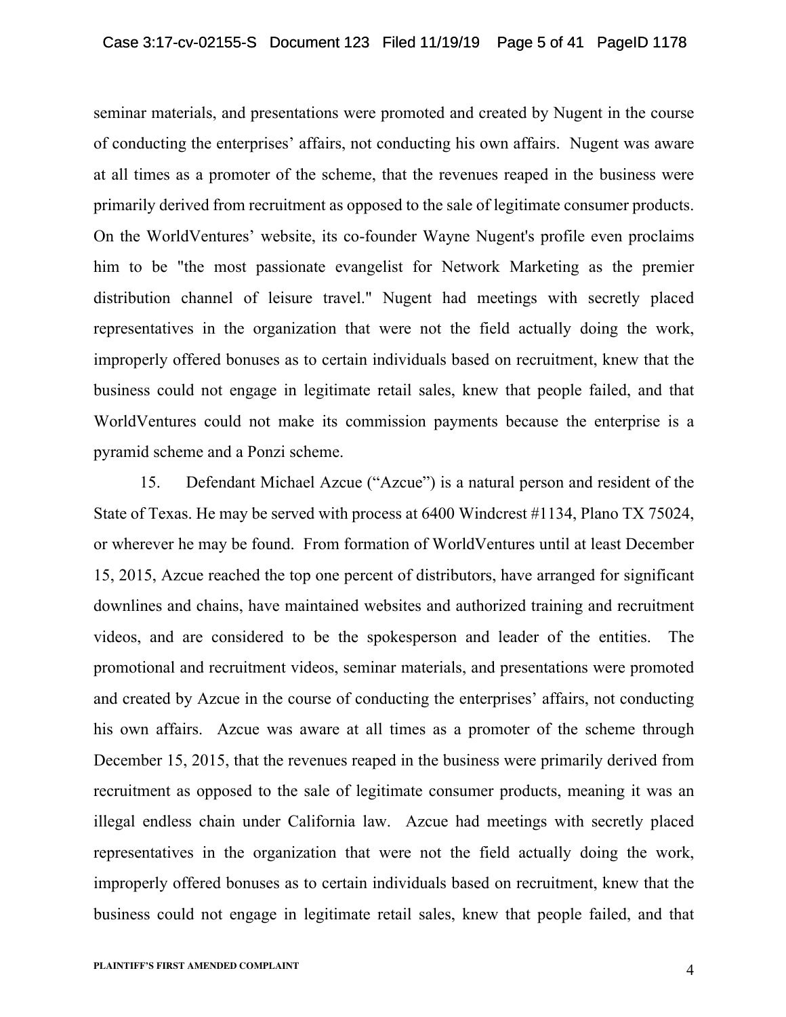seminar materials, and presentations were promoted and created by Nugent in the course of conducting the enterprises' affairs, not conducting his own affairs. Nugent was aware at all times as a promoter of the scheme, that the revenues reaped in the business were primarily derived from recruitment as opposed to the sale of legitimate consumer products. On the WorldVentures' website, its co-founder Wayne Nugent's profile even proclaims him to be "the most passionate evangelist for Network Marketing as the premier distribution channel of leisure travel." Nugent had meetings with secretly placed representatives in the organization that were not the field actually doing the work, improperly offered bonuses as to certain individuals based on recruitment, knew that the business could not engage in legitimate retail sales, knew that people failed, and that WorldVentures could not make its commission payments because the enterprise is a pyramid scheme and a Ponzi scheme.

15. Defendant Michael Azcue ("Azcue") is a natural person and resident of the State of Texas. He may be served with process at 6400 Windcrest #1134, Plano TX 75024, or wherever he may be found. From formation of WorldVentures until at least December 15, 2015, Azcue reached the top one percent of distributors, have arranged for significant downlines and chains, have maintained websites and authorized training and recruitment videos, and are considered to be the spokesperson and leader of the entities. The promotional and recruitment videos, seminar materials, and presentations were promoted and created by Azcue in the course of conducting the enterprises' affairs, not conducting his own affairs. Azcue was aware at all times as a promoter of the scheme through December 15, 2015, that the revenues reaped in the business were primarily derived from recruitment as opposed to the sale of legitimate consumer products, meaning it was an illegal endless chain under California law. Azcue had meetings with secretly placed representatives in the organization that were not the field actually doing the work, improperly offered bonuses as to certain individuals based on recruitment, knew that the business could not engage in legitimate retail sales, knew that people failed, and that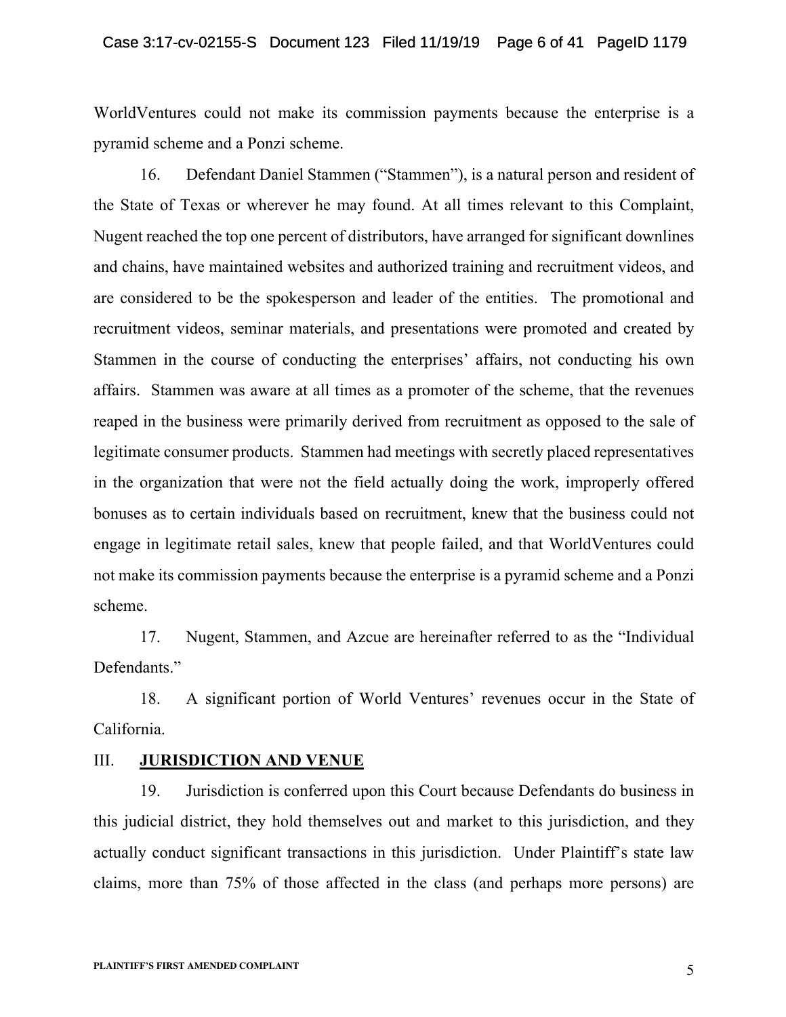WorldVentures could not make its commission payments because the enterprise is a pyramid scheme and a Ponzi scheme.

16. Defendant Daniel Stammen ("Stammen"), is a natural person and resident of the State of Texas or wherever he may found. At all times relevant to this Complaint, Nugent reached the top one percent of distributors, have arranged for significant downlines and chains, have maintained websites and authorized training and recruitment videos, and are considered to be the spokesperson and leader of the entities. The promotional and recruitment videos, seminar materials, and presentations were promoted and created by Stammen in the course of conducting the enterprises' affairs, not conducting his own affairs. Stammen was aware at all times as a promoter of the scheme, that the revenues reaped in the business were primarily derived from recruitment as opposed to the sale of legitimate consumer products. Stammen had meetings with secretly placed representatives in the organization that were not the field actually doing the work, improperly offered bonuses as to certain individuals based on recruitment, knew that the business could not engage in legitimate retail sales, knew that people failed, and that WorldVentures could not make its commission payments because the enterprise is a pyramid scheme and a Ponzi scheme.

17. Nugent, Stammen, and Azcue are hereinafter referred to as the "Individual Defendants."

18. A significant portion of World Ventures' revenues occur in the State of California.

# III. **JURISDICTION AND VENUE**

19. Jurisdiction is conferred upon this Court because Defendants do business in this judicial district, they hold themselves out and market to this jurisdiction, and they actually conduct significant transactions in this jurisdiction. Under Plaintiff's state law claims, more than 75% of those affected in the class (and perhaps more persons) are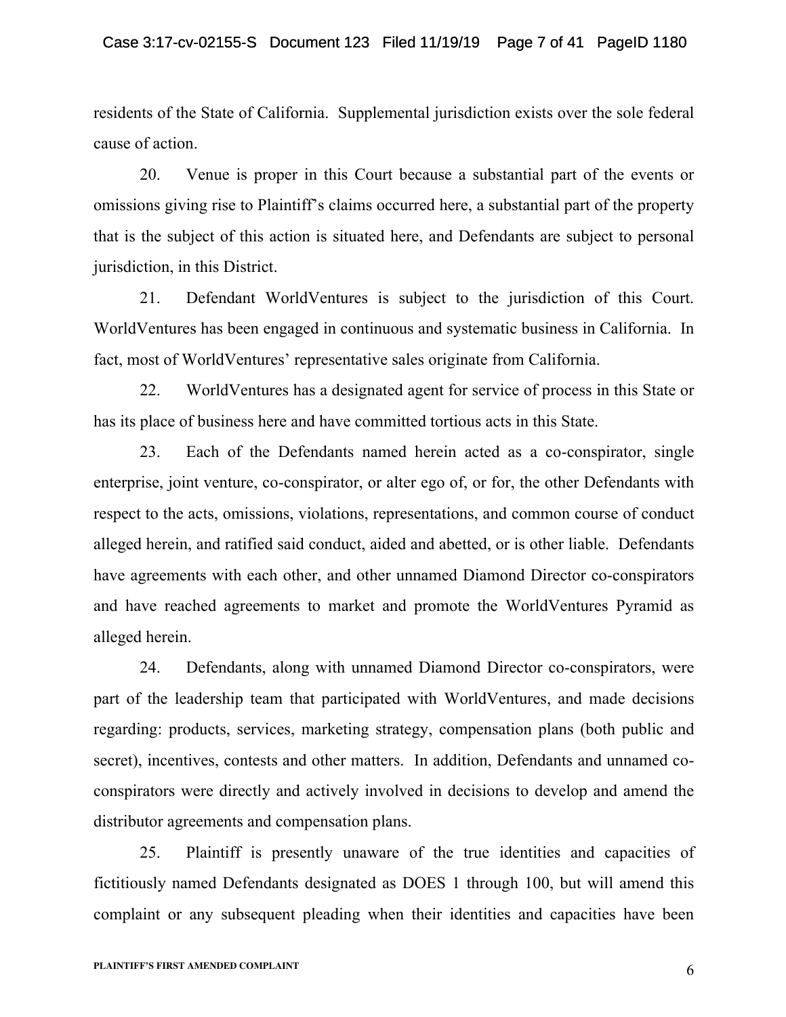residents of the State of California. Supplemental jurisdiction exists over the sole federal cause of action.

20. Venue is proper in this Court because a substantial part of the events or omissions giving rise to Plaintiff's claims occurred here, a substantial part of the property that is the subject of this action is situated here, and Defendants are subject to personal jurisdiction, in this District.

21. Defendant WorldVentures is subject to the jurisdiction of this Court. WorldVentures has been engaged in continuous and systematic business in California. In fact, most of WorldVentures' representative sales originate from California.

22. WorldVentures has a designated agent for service of process in this State or has its place of business here and have committed tortious acts in this State.

23. Each of the Defendants named herein acted as a co-conspirator, single enterprise, joint venture, co-conspirator, or alter ego of, or for, the other Defendants with respect to the acts, omissions, violations, representations, and common course of conduct alleged herein, and ratified said conduct, aided and abetted, or is other liable. Defendants have agreements with each other, and other unnamed Diamond Director co-conspirators and have reached agreements to market and promote the WorldVentures Pyramid as alleged herein.

24. Defendants, along with unnamed Diamond Director co-conspirators, were part of the leadership team that participated with WorldVentures, and made decisions regarding: products, services, marketing strategy, compensation plans (both public and secret), incentives, contests and other matters. In addition, Defendants and unnamed coconspirators were directly and actively involved in decisions to develop and amend the distributor agreements and compensation plans.

25. Plaintiff is presently unaware of the true identities and capacities of fictitiously named Defendants designated as DOES 1 through 100, but will amend this complaint or any subsequent pleading when their identities and capacities have been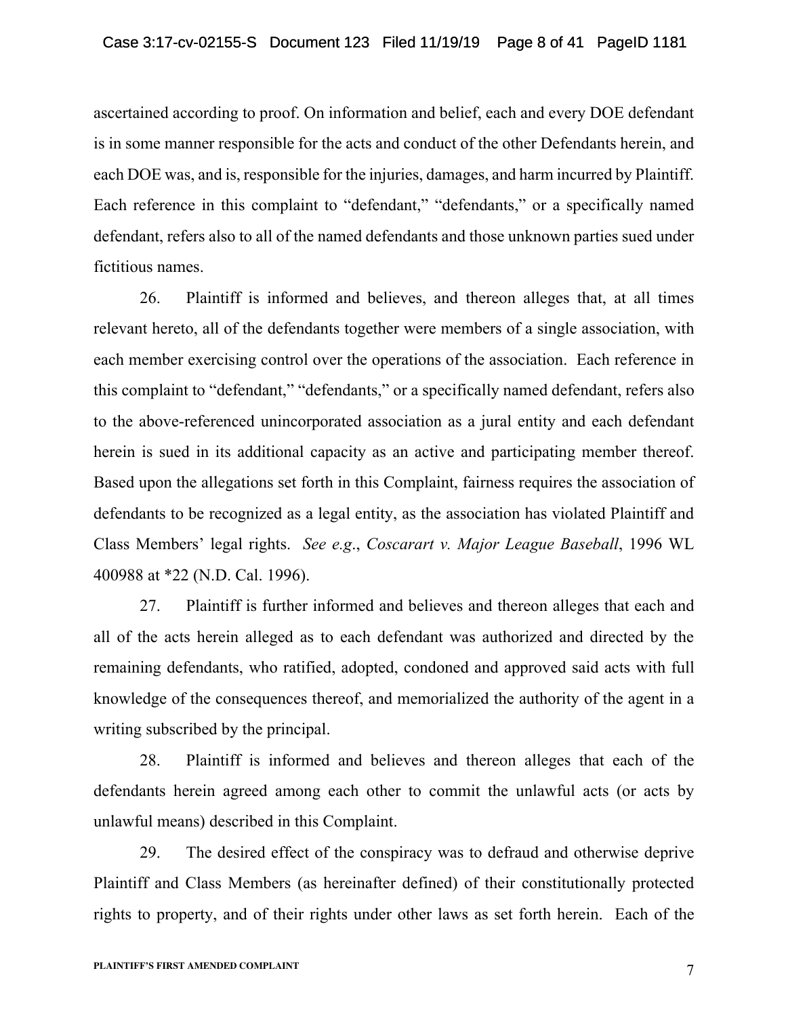ascertained according to proof. On information and belief, each and every DOE defendant is in some manner responsible for the acts and conduct of the other Defendants herein, and each DOE was, and is, responsible for the injuries, damages, and harm incurred by Plaintiff. Each reference in this complaint to "defendant," "defendants," or a specifically named defendant, refers also to all of the named defendants and those unknown parties sued under fictitious names.

26. Plaintiff is informed and believes, and thereon alleges that, at all times relevant hereto, all of the defendants together were members of a single association, with each member exercising control over the operations of the association. Each reference in this complaint to "defendant," "defendants," or a specifically named defendant, refers also to the above-referenced unincorporated association as a jural entity and each defendant herein is sued in its additional capacity as an active and participating member thereof. Based upon the allegations set forth in this Complaint, fairness requires the association of defendants to be recognized as a legal entity, as the association has violated Plaintiff and Class Members' legal rights. *See e.g*., *Coscarart v. Major League Baseball*, 1996 WL 400988 at \*22 (N.D. Cal. 1996).

27. Plaintiff is further informed and believes and thereon alleges that each and all of the acts herein alleged as to each defendant was authorized and directed by the remaining defendants, who ratified, adopted, condoned and approved said acts with full knowledge of the consequences thereof, and memorialized the authority of the agent in a writing subscribed by the principal.

28. Plaintiff is informed and believes and thereon alleges that each of the defendants herein agreed among each other to commit the unlawful acts (or acts by unlawful means) described in this Complaint.

29. The desired effect of the conspiracy was to defraud and otherwise deprive Plaintiff and Class Members (as hereinafter defined) of their constitutionally protected rights to property, and of their rights under other laws as set forth herein. Each of the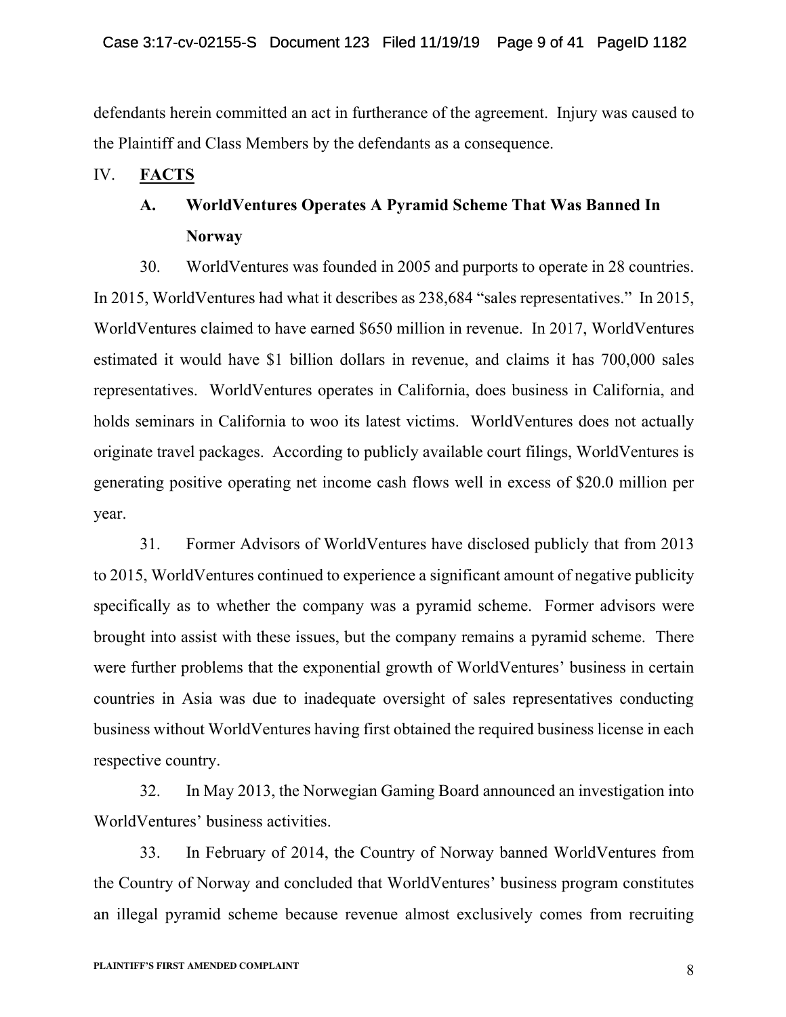defendants herein committed an act in furtherance of the agreement. Injury was caused to the Plaintiff and Class Members by the defendants as a consequence.

# IV. **FACTS**

# **A. WorldVentures Operates A Pyramid Scheme That Was Banned In Norway**

30. WorldVentures was founded in 2005 and purports to operate in 28 countries. In 2015, WorldVentures had what it describes as 238,684 "sales representatives." In 2015, WorldVentures claimed to have earned \$650 million in revenue. In 2017, WorldVentures estimated it would have \$1 billion dollars in revenue, and claims it has 700,000 sales representatives. WorldVentures operates in California, does business in California, and holds seminars in California to woo its latest victims. WorldVentures does not actually originate travel packages. According to publicly available court filings, WorldVentures is generating positive operating net income cash flows well in excess of \$20.0 million per year.

31. Former Advisors of WorldVentures have disclosed publicly that from 2013 to 2015, WorldVentures continued to experience a significant amount of negative publicity specifically as to whether the company was a pyramid scheme. Former advisors were brought into assist with these issues, but the company remains a pyramid scheme. There were further problems that the exponential growth of WorldVentures' business in certain countries in Asia was due to inadequate oversight of sales representatives conducting business without WorldVentures having first obtained the required business license in each respective country.

32. In May 2013, the Norwegian Gaming Board announced an investigation into WorldVentures' business activities.

33. In February of 2014, the Country of Norway banned WorldVentures from the Country of Norway and concluded that WorldVentures' business program constitutes an illegal pyramid scheme because revenue almost exclusively comes from recruiting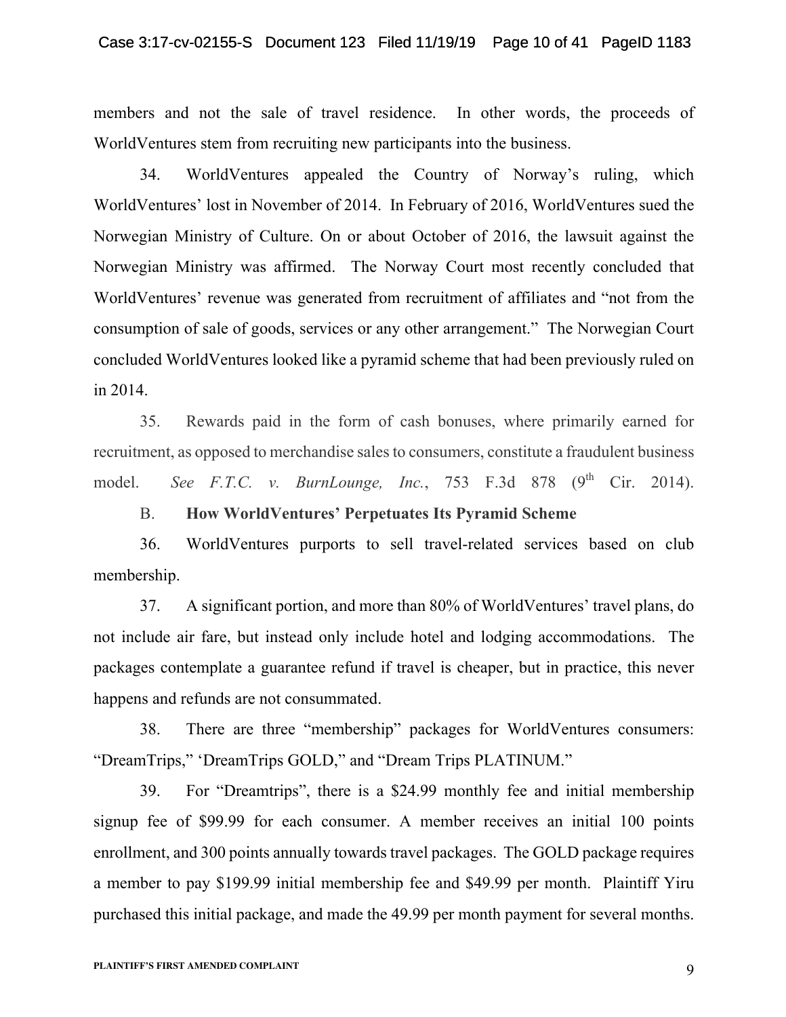#### Case 3:17-cv-02155-S Document 123 Filed 11/19/19 Page 10 of 41 PageID 1183

members and not the sale of travel residence. In other words, the proceeds of WorldVentures stem from recruiting new participants into the business.

34. WorldVentures appealed the Country of Norway's ruling, which WorldVentures' lost in November of 2014. In February of 2016, WorldVentures sued the Norwegian Ministry of Culture. On or about October of 2016, the lawsuit against the Norwegian Ministry was affirmed. The Norway Court most recently concluded that WorldVentures' revenue was generated from recruitment of affiliates and "not from the consumption of sale of goods, services or any other arrangement." The Norwegian Court concluded WorldVentures looked like a pyramid scheme that had been previously ruled on in 2014.

35. Rewards paid in the form of cash bonuses, where primarily earned for recruitment, as opposed to merchandise sales to consumers, constitute a fraudulent business model. *See F.T.C. v. BurnLounge, Inc.*, 753 F.3d 878 (9<sup>th</sup> Cir. 2014).

# B. **How WorldVentures' Perpetuates Its Pyramid Scheme**

36. WorldVentures purports to sell travel-related services based on club membership.

37. A significant portion, and more than 80% of WorldVentures' travel plans, do not include air fare, but instead only include hotel and lodging accommodations. The packages contemplate a guarantee refund if travel is cheaper, but in practice, this never happens and refunds are not consummated.

38. There are three "membership" packages for WorldVentures consumers: "DreamTrips," 'DreamTrips GOLD," and "Dream Trips PLATINUM."

39. For "Dreamtrips", there is a \$24.99 monthly fee and initial membership signup fee of \$99.99 for each consumer. A member receives an initial 100 points enrollment, and 300 points annually towards travel packages. The GOLD package requires a member to pay \$199.99 initial membership fee and \$49.99 per month. Plaintiff Yiru purchased this initial package, and made the 49.99 per month payment for several months.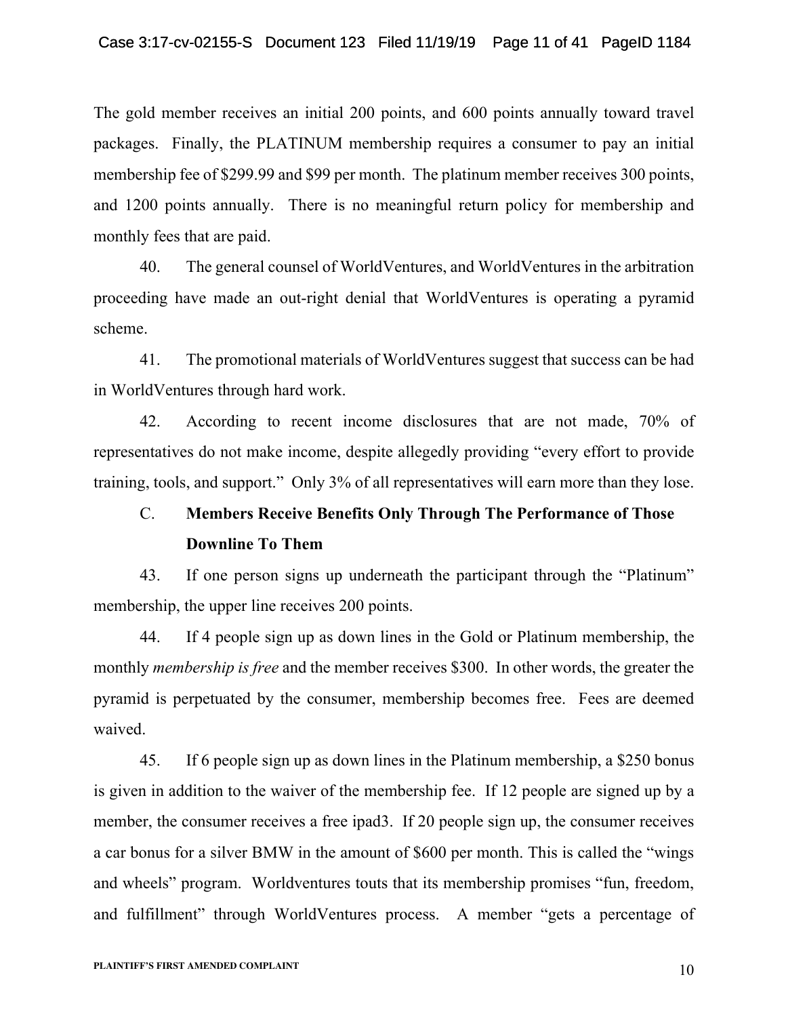The gold member receives an initial 200 points, and 600 points annually toward travel packages. Finally, the PLATINUM membership requires a consumer to pay an initial membership fee of \$299.99 and \$99 per month. The platinum member receives 300 points, and 1200 points annually. There is no meaningful return policy for membership and monthly fees that are paid.

40. The general counsel of WorldVentures, and WorldVentures in the arbitration proceeding have made an out-right denial that WorldVentures is operating a pyramid scheme.

41. The promotional materials of WorldVentures suggest that success can be had in WorldVentures through hard work.

42. According to recent income disclosures that are not made, 70% of representatives do not make income, despite allegedly providing "every effort to provide training, tools, and support." Only 3% of all representatives will earn more than they lose.

# C. **Members Receive Benefits Only Through The Performance of Those Downline To Them**

43. If one person signs up underneath the participant through the "Platinum" membership, the upper line receives 200 points.

44. If 4 people sign up as down lines in the Gold or Platinum membership, the monthly *membership is free* and the member receives \$300. In other words, the greater the pyramid is perpetuated by the consumer, membership becomes free. Fees are deemed waived.

45. If 6 people sign up as down lines in the Platinum membership, a \$250 bonus is given in addition to the waiver of the membership fee. If 12 people are signed up by a member, the consumer receives a free ipad3. If 20 people sign up, the consumer receives a car bonus for a silver BMW in the amount of \$600 per month. This is called the "wings and wheels" program. Worldventures touts that its membership promises "fun, freedom, and fulfillment" through WorldVentures process. A member "gets a percentage of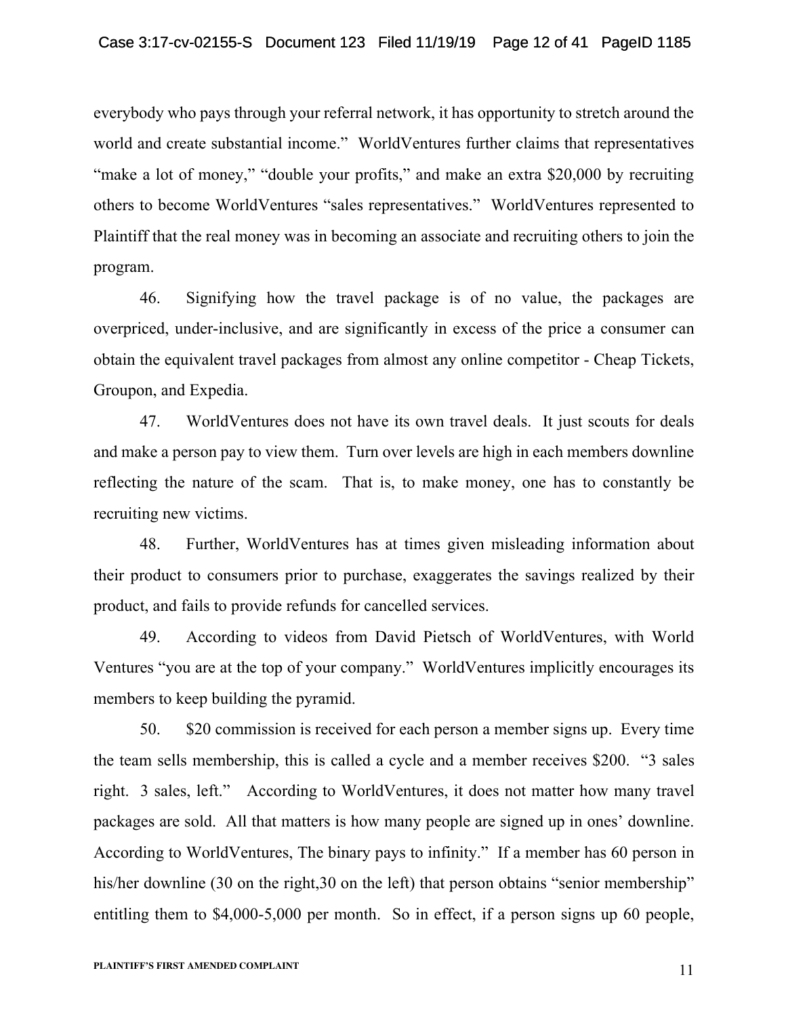everybody who pays through your referral network, it has opportunity to stretch around the world and create substantial income." WorldVentures further claims that representatives "make a lot of money," "double your profits," and make an extra \$20,000 by recruiting others to become WorldVentures "sales representatives." WorldVentures represented to Plaintiff that the real money was in becoming an associate and recruiting others to join the program.

46. Signifying how the travel package is of no value, the packages are overpriced, under-inclusive, and are significantly in excess of the price a consumer can obtain the equivalent travel packages from almost any online competitor - Cheap Tickets, Groupon, and Expedia.

47. WorldVentures does not have its own travel deals. It just scouts for deals and make a person pay to view them. Turn over levels are high in each members downline reflecting the nature of the scam. That is, to make money, one has to constantly be recruiting new victims.

48. Further, WorldVentures has at times given misleading information about their product to consumers prior to purchase, exaggerates the savings realized by their product, and fails to provide refunds for cancelled services.

49. According to videos from David Pietsch of WorldVentures, with World Ventures "you are at the top of your company." WorldVentures implicitly encourages its members to keep building the pyramid.

50. \$20 commission is received for each person a member signs up. Every time the team sells membership, this is called a cycle and a member receives \$200. "3 sales right. 3 sales, left." According to WorldVentures, it does not matter how many travel packages are sold. All that matters is how many people are signed up in ones' downline. According to WorldVentures, The binary pays to infinity." If a member has 60 person in his/her downline (30 on the right, 30 on the left) that person obtains "senior membership" entitling them to \$4,000-5,000 per month. So in effect, if a person signs up 60 people,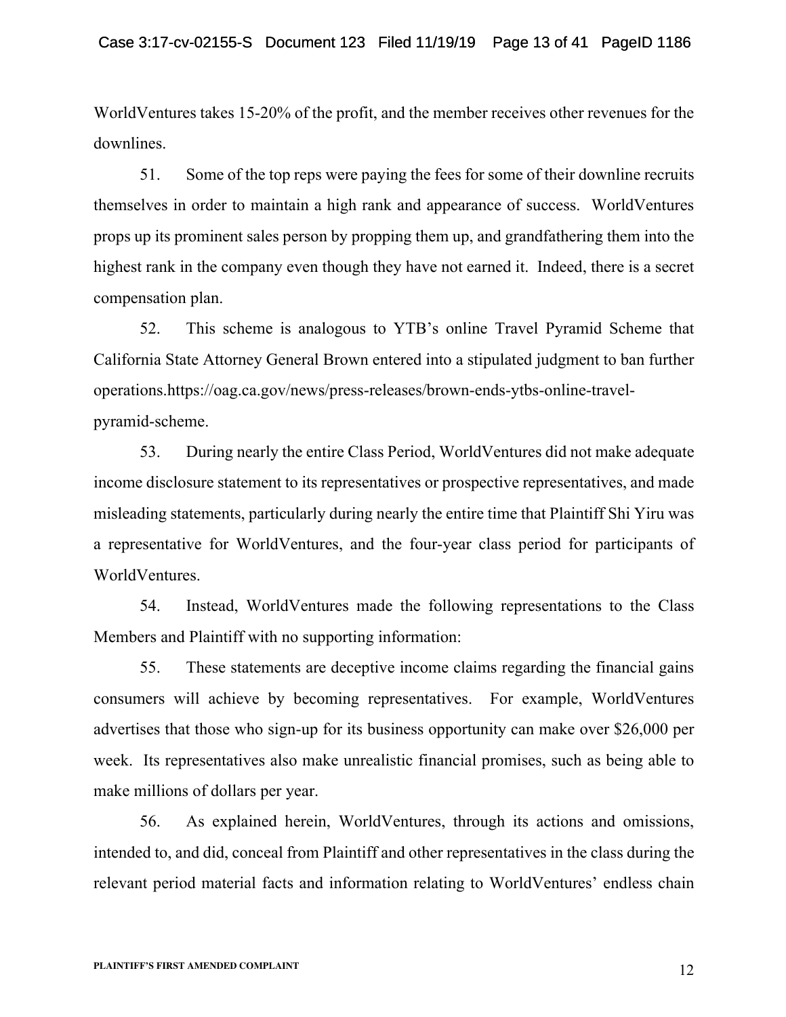WorldVentures takes 15-20% of the profit, and the member receives other revenues for the downlines.

51. Some of the top reps were paying the fees for some of their downline recruits themselves in order to maintain a high rank and appearance of success. WorldVentures props up its prominent sales person by propping them up, and grandfathering them into the highest rank in the company even though they have not earned it. Indeed, there is a secret compensation plan.

52. This scheme is analogous to YTB's online Travel Pyramid Scheme that California State Attorney General Brown entered into a stipulated judgment to ban further operations.https://oag.ca.gov/news/press-releases/brown-ends-ytbs-online-travelpyramid-scheme.

53. During nearly the entire Class Period, WorldVentures did not make adequate income disclosure statement to its representatives or prospective representatives, and made misleading statements, particularly during nearly the entire time that Plaintiff Shi Yiru was a representative for WorldVentures, and the four-year class period for participants of WorldVentures.

54. Instead, WorldVentures made the following representations to the Class Members and Plaintiff with no supporting information:

55. These statements are deceptive income claims regarding the financial gains consumers will achieve by becoming representatives. For example, WorldVentures advertises that those who sign-up for its business opportunity can make over \$26,000 per week. Its representatives also make unrealistic financial promises, such as being able to make millions of dollars per year.

56. As explained herein, WorldVentures, through its actions and omissions, intended to, and did, conceal from Plaintiff and other representatives in the class during the relevant period material facts and information relating to WorldVentures' endless chain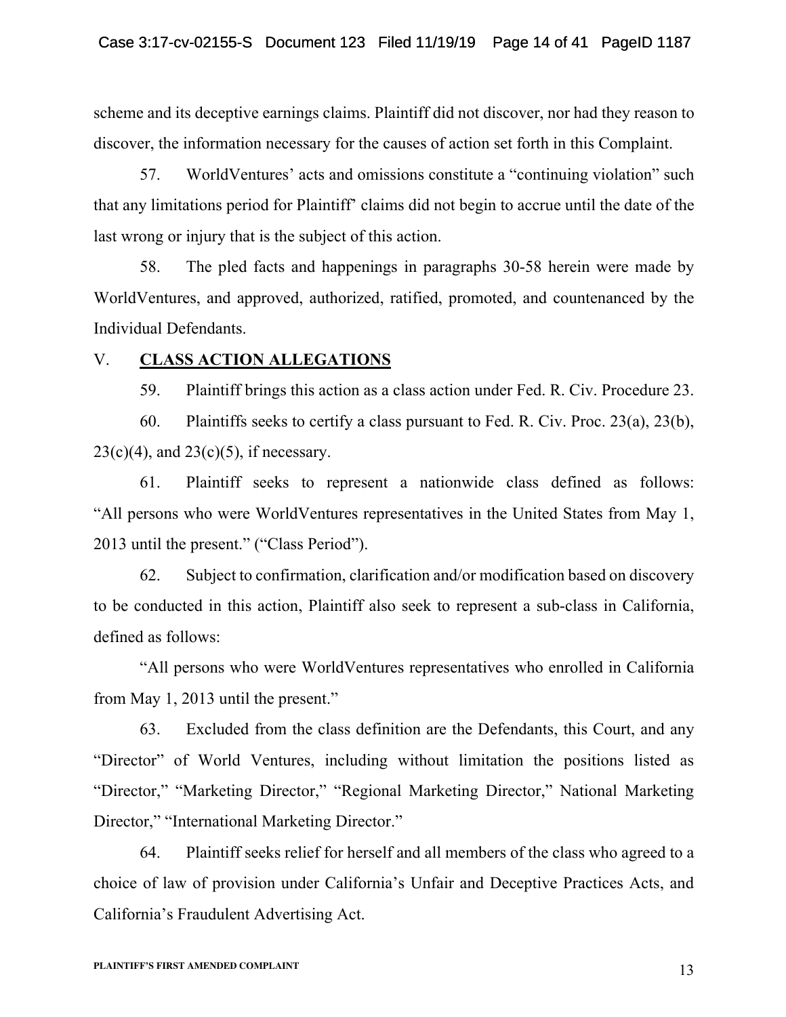scheme and its deceptive earnings claims. Plaintiff did not discover, nor had they reason to discover, the information necessary for the causes of action set forth in this Complaint.

57. WorldVentures' acts and omissions constitute a "continuing violation" such that any limitations period for Plaintiff' claims did not begin to accrue until the date of the last wrong or injury that is the subject of this action.

58. The pled facts and happenings in paragraphs 30-58 herein were made by WorldVentures, and approved, authorized, ratified, promoted, and countenanced by the Individual Defendants.

## V. **CLASS ACTION ALLEGATIONS**

59. Plaintiff brings this action as a class action under Fed. R. Civ. Procedure 23.

60. Plaintiffs seeks to certify a class pursuant to Fed. R. Civ. Proc. 23(a), 23(b),  $23(c)(4)$ , and  $23(c)(5)$ , if necessary.

61. Plaintiff seeks to represent a nationwide class defined as follows: "All persons who were WorldVentures representatives in the United States from May 1, 2013 until the present." ("Class Period").

62. Subject to confirmation, clarification and/or modification based on discovery to be conducted in this action, Plaintiff also seek to represent a sub-class in California, defined as follows:

"All persons who were WorldVentures representatives who enrolled in California from May 1, 2013 until the present."

63. Excluded from the class definition are the Defendants, this Court, and any "Director" of World Ventures, including without limitation the positions listed as "Director," "Marketing Director," "Regional Marketing Director," National Marketing Director," "International Marketing Director."

64. Plaintiff seeks relief for herself and all members of the class who agreed to a choice of law of provision under California's Unfair and Deceptive Practices Acts, and California's Fraudulent Advertising Act.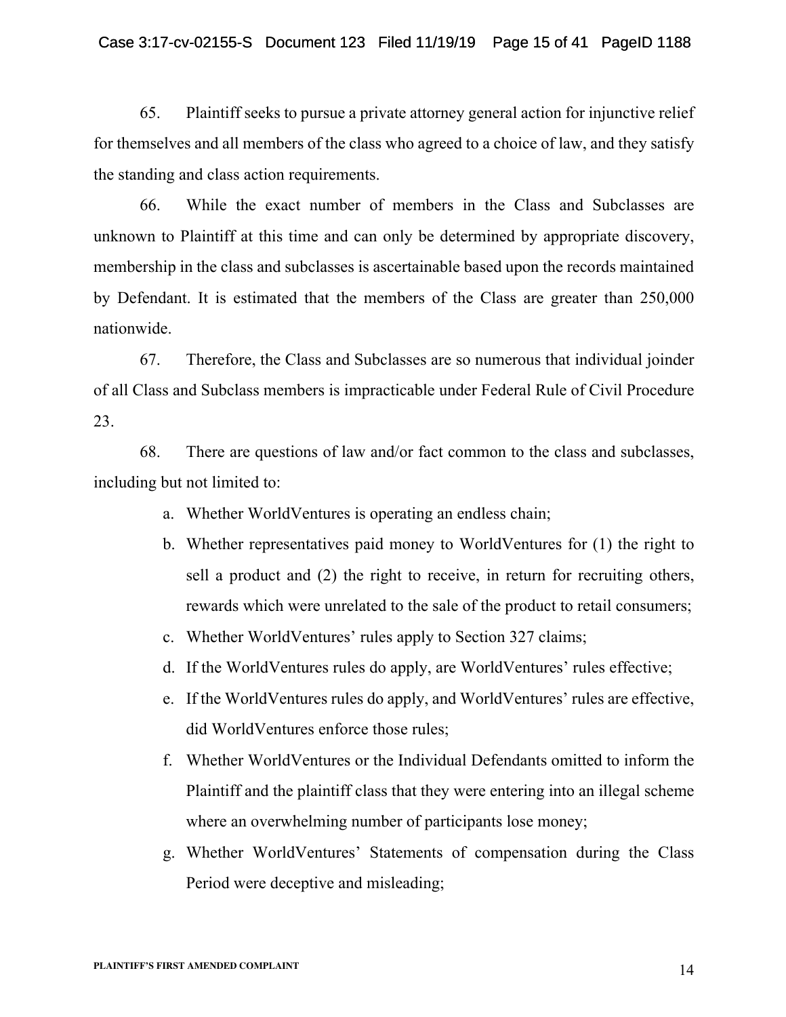#### Case 3:17-cv-02155-S Document 123 Filed 11/19/19 Page 15 of 41 PageID 1188

65. Plaintiff seeks to pursue a private attorney general action for injunctive relief for themselves and all members of the class who agreed to a choice of law, and they satisfy the standing and class action requirements.

66. While the exact number of members in the Class and Subclasses are unknown to Plaintiff at this time and can only be determined by appropriate discovery, membership in the class and subclasses is ascertainable based upon the records maintained by Defendant. It is estimated that the members of the Class are greater than 250,000 nationwide.

67. Therefore, the Class and Subclasses are so numerous that individual joinder of all Class and Subclass members is impracticable under Federal Rule of Civil Procedure 23.

68. There are questions of law and/or fact common to the class and subclasses, including but not limited to:

- a. Whether WorldVentures is operating an endless chain;
- b. Whether representatives paid money to WorldVentures for (1) the right to sell a product and (2) the right to receive, in return for recruiting others, rewards which were unrelated to the sale of the product to retail consumers;
- c. Whether WorldVentures' rules apply to Section 327 claims;
- d. If the WorldVentures rules do apply, are WorldVentures' rules effective;
- e. If the WorldVentures rules do apply, and WorldVentures' rules are effective, did WorldVentures enforce those rules;
- f. Whether WorldVentures or the Individual Defendants omitted to inform the Plaintiff and the plaintiff class that they were entering into an illegal scheme where an overwhelming number of participants lose money;
- g. Whether WorldVentures' Statements of compensation during the Class Period were deceptive and misleading;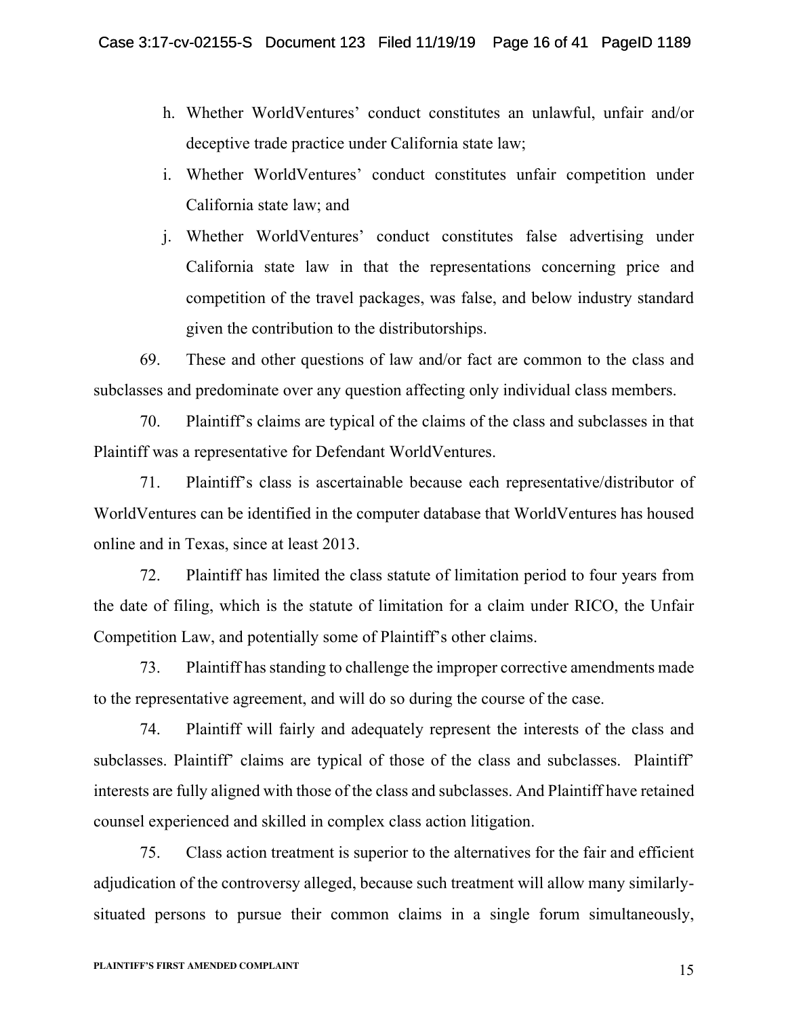- h. Whether WorldVentures' conduct constitutes an unlawful, unfair and/or deceptive trade practice under California state law;
- i. Whether WorldVentures' conduct constitutes unfair competition under California state law; and
- j. Whether WorldVentures' conduct constitutes false advertising under California state law in that the representations concerning price and competition of the travel packages, was false, and below industry standard given the contribution to the distributorships.

69. These and other questions of law and/or fact are common to the class and subclasses and predominate over any question affecting only individual class members.

70. Plaintiff's claims are typical of the claims of the class and subclasses in that Plaintiff was a representative for Defendant WorldVentures.

71. Plaintiff's class is ascertainable because each representative/distributor of WorldVentures can be identified in the computer database that WorldVentures has housed online and in Texas, since at least 2013.

72. Plaintiff has limited the class statute of limitation period to four years from the date of filing, which is the statute of limitation for a claim under RICO, the Unfair Competition Law, and potentially some of Plaintiff's other claims.

73. Plaintiff has standing to challenge the improper corrective amendments made to the representative agreement, and will do so during the course of the case.

74. Plaintiff will fairly and adequately represent the interests of the class and subclasses. Plaintiff' claims are typical of those of the class and subclasses. Plaintiff' interests are fully aligned with those of the class and subclasses. And Plaintiff have retained counsel experienced and skilled in complex class action litigation.

75. Class action treatment is superior to the alternatives for the fair and efficient adjudication of the controversy alleged, because such treatment will allow many similarlysituated persons to pursue their common claims in a single forum simultaneously,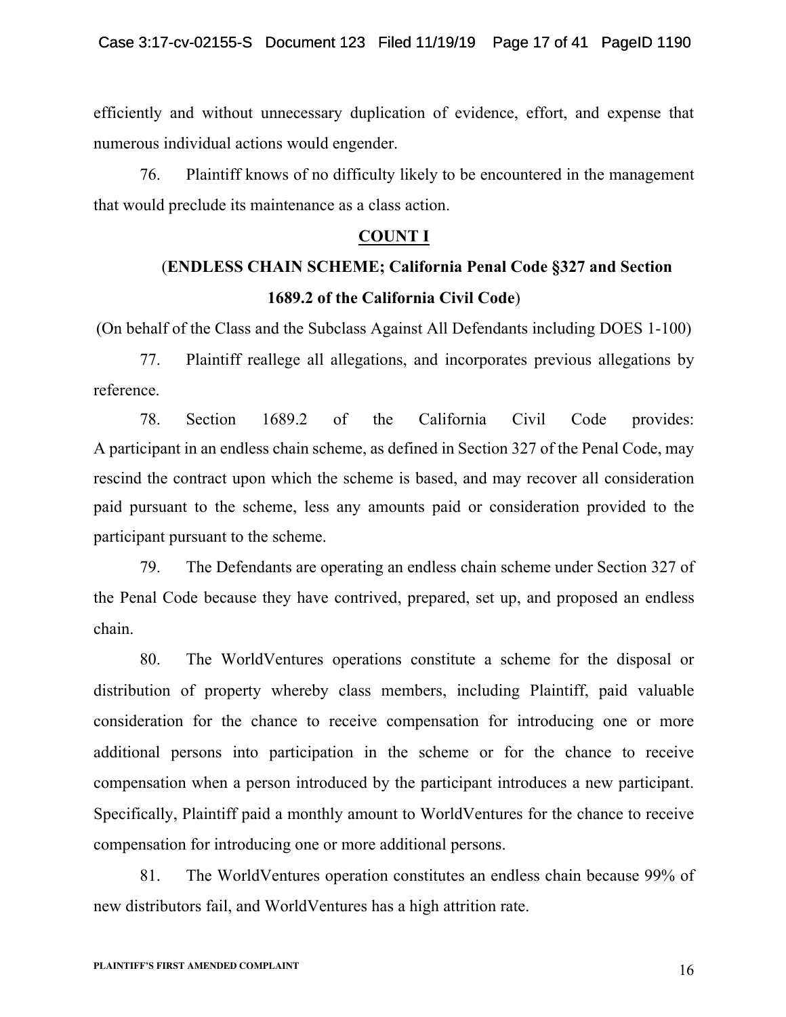efficiently and without unnecessary duplication of evidence, effort, and expense that numerous individual actions would engender.

76. Plaintiff knows of no difficulty likely to be encountered in the management that would preclude its maintenance as a class action.

# **COUNT I**

# (**ENDLESS CHAIN SCHEME; California Penal Code §327 and Section 1689.2 of the California Civil Code**)

(On behalf of the Class and the Subclass Against All Defendants including DOES 1-100)

77. Plaintiff reallege all allegations, and incorporates previous allegations by reference.

78. Section 1689.2 of the California Civil Code provides: A participant in an endless chain scheme, as defined in Section 327 of the Penal Code, may rescind the contract upon which the scheme is based, and may recover all consideration paid pursuant to the scheme, less any amounts paid or consideration provided to the participant pursuant to the scheme.

79. The Defendants are operating an endless chain scheme under Section 327 of the Penal Code because they have contrived, prepared, set up, and proposed an endless chain.

80. The WorldVentures operations constitute a scheme for the disposal or distribution of property whereby class members, including Plaintiff, paid valuable consideration for the chance to receive compensation for introducing one or more additional persons into participation in the scheme or for the chance to receive compensation when a person introduced by the participant introduces a new participant. Specifically, Plaintiff paid a monthly amount to WorldVentures for the chance to receive compensation for introducing one or more additional persons.

81. The WorldVentures operation constitutes an endless chain because 99% of new distributors fail, and WorldVentures has a high attrition rate.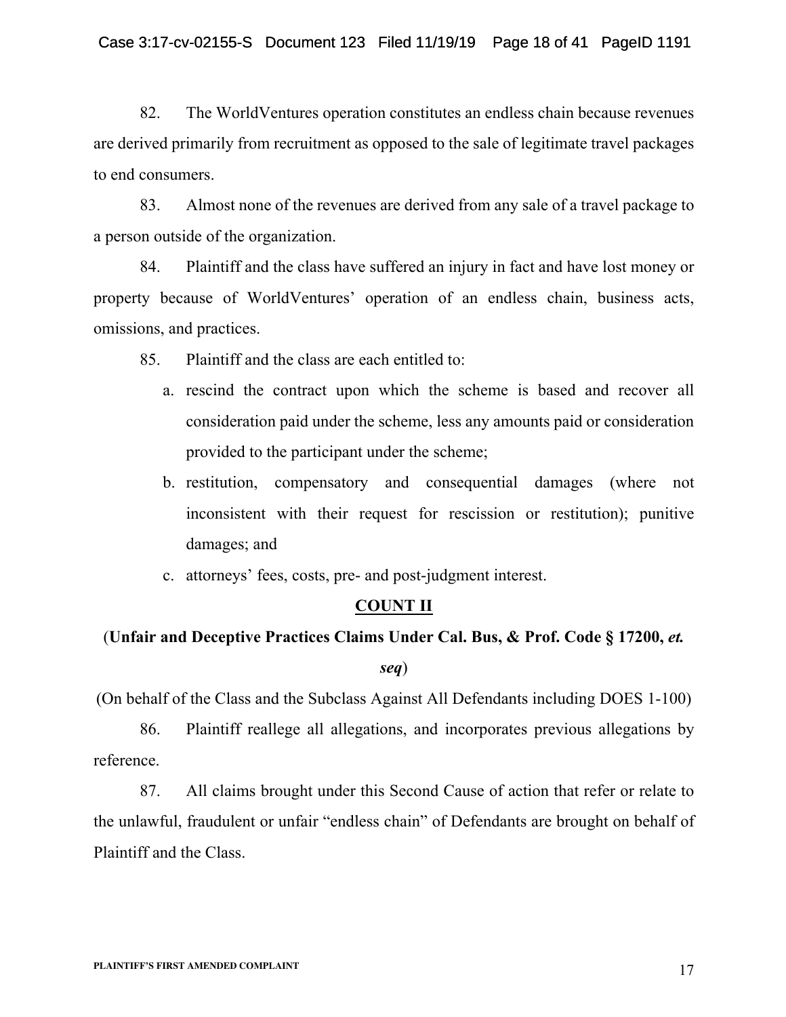82. The WorldVentures operation constitutes an endless chain because revenues are derived primarily from recruitment as opposed to the sale of legitimate travel packages to end consumers.

83. Almost none of the revenues are derived from any sale of a travel package to a person outside of the organization.

84. Plaintiff and the class have suffered an injury in fact and have lost money or property because of WorldVentures' operation of an endless chain, business acts, omissions, and practices.

85. Plaintiff and the class are each entitled to:

- a. rescind the contract upon which the scheme is based and recover all consideration paid under the scheme, less any amounts paid or consideration provided to the participant under the scheme;
- b. restitution, compensatory and consequential damages (where not inconsistent with their request for rescission or restitution); punitive damages; and
- c. attorneys' fees, costs, pre- and post-judgment interest.

# **COUNT II**

# (**Unfair and Deceptive Practices Claims Under Cal. Bus, & Prof. Code § 17200,** *et.*

## *seq*)

(On behalf of the Class and the Subclass Against All Defendants including DOES 1-100)

86. Plaintiff reallege all allegations, and incorporates previous allegations by reference.

87. All claims brought under this Second Cause of action that refer or relate to the unlawful, fraudulent or unfair "endless chain" of Defendants are brought on behalf of Plaintiff and the Class.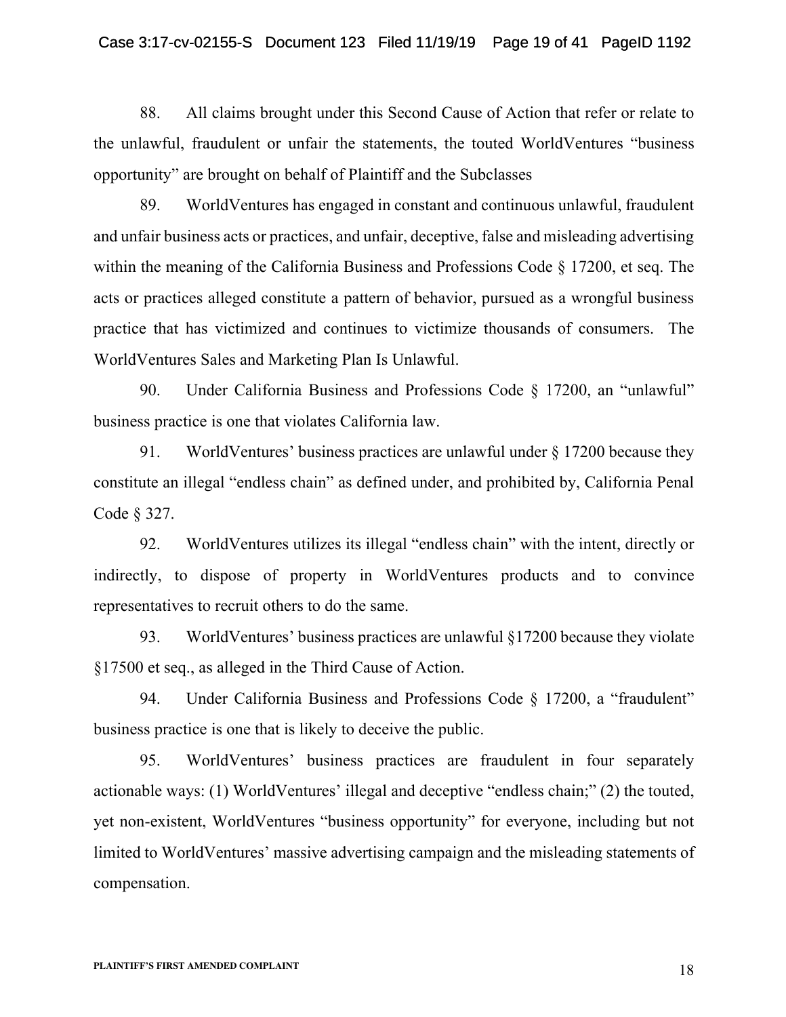#### Case 3:17-cv-02155-S Document 123 Filed 11/19/19 Page 19 of 41 PageID 1192

88. All claims brought under this Second Cause of Action that refer or relate to the unlawful, fraudulent or unfair the statements, the touted WorldVentures "business opportunity" are brought on behalf of Plaintiff and the Subclasses

89. WorldVentures has engaged in constant and continuous unlawful, fraudulent and unfair business acts or practices, and unfair, deceptive, false and misleading advertising within the meaning of the California Business and Professions Code § 17200, et seq. The acts or practices alleged constitute a pattern of behavior, pursued as a wrongful business practice that has victimized and continues to victimize thousands of consumers. The WorldVentures Sales and Marketing Plan Is Unlawful.

90. Under California Business and Professions Code § 17200, an "unlawful" business practice is one that violates California law.

91. WorldVentures' business practices are unlawful under § 17200 because they constitute an illegal "endless chain" as defined under, and prohibited by, California Penal Code § 327.

92. WorldVentures utilizes its illegal "endless chain" with the intent, directly or indirectly, to dispose of property in WorldVentures products and to convince representatives to recruit others to do the same.

93. WorldVentures' business practices are unlawful §17200 because they violate §17500 et seq., as alleged in the Third Cause of Action.

94. Under California Business and Professions Code § 17200, a "fraudulent" business practice is one that is likely to deceive the public.

95. WorldVentures' business practices are fraudulent in four separately actionable ways: (1) WorldVentures' illegal and deceptive "endless chain;" (2) the touted, yet non-existent, WorldVentures "business opportunity" for everyone, including but not limited to WorldVentures' massive advertising campaign and the misleading statements of compensation.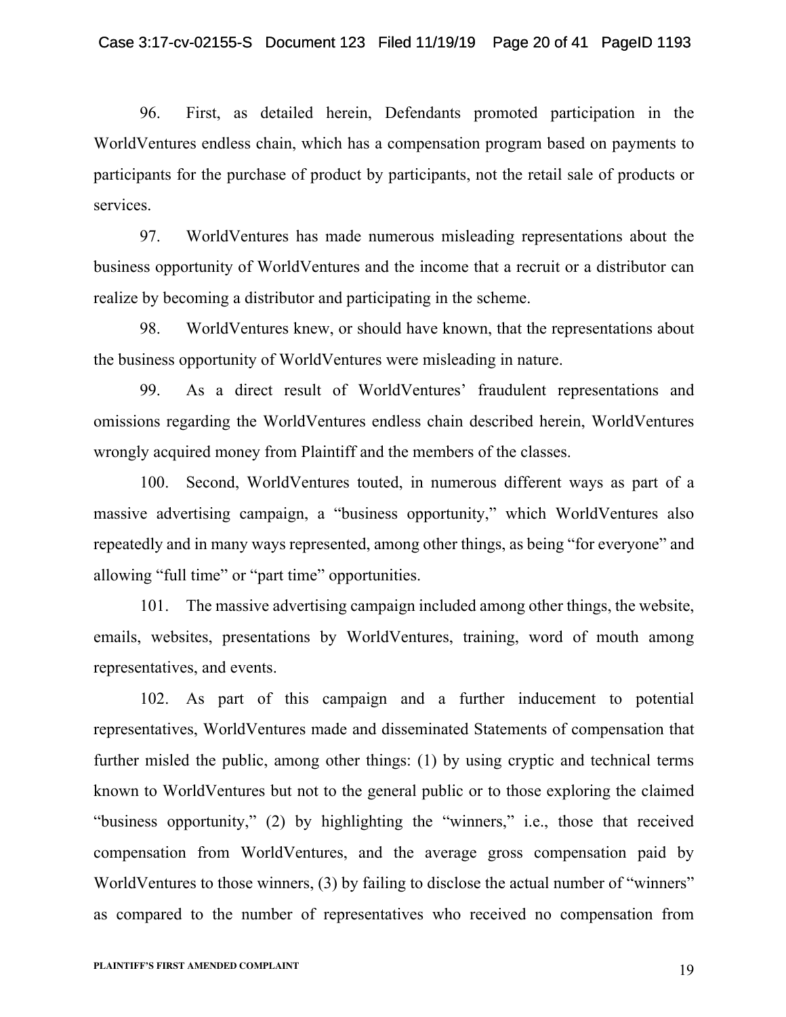96. First, as detailed herein, Defendants promoted participation in the WorldVentures endless chain, which has a compensation program based on payments to participants for the purchase of product by participants, not the retail sale of products or services.

97. WorldVentures has made numerous misleading representations about the business opportunity of WorldVentures and the income that a recruit or a distributor can realize by becoming a distributor and participating in the scheme.

98. WorldVentures knew, or should have known, that the representations about the business opportunity of WorldVentures were misleading in nature.

99. As a direct result of WorldVentures' fraudulent representations and omissions regarding the WorldVentures endless chain described herein, WorldVentures wrongly acquired money from Plaintiff and the members of the classes.

100. Second, WorldVentures touted, in numerous different ways as part of a massive advertising campaign, a "business opportunity," which WorldVentures also repeatedly and in many ways represented, among other things, as being "for everyone" and allowing "full time" or "part time" opportunities.

101. The massive advertising campaign included among other things, the website, emails, websites, presentations by WorldVentures, training, word of mouth among representatives, and events.

102. As part of this campaign and a further inducement to potential representatives, WorldVentures made and disseminated Statements of compensation that further misled the public, among other things: (1) by using cryptic and technical terms known to WorldVentures but not to the general public or to those exploring the claimed "business opportunity," (2) by highlighting the "winners," i.e., those that received compensation from WorldVentures, and the average gross compensation paid by WorldVentures to those winners, (3) by failing to disclose the actual number of "winners" as compared to the number of representatives who received no compensation from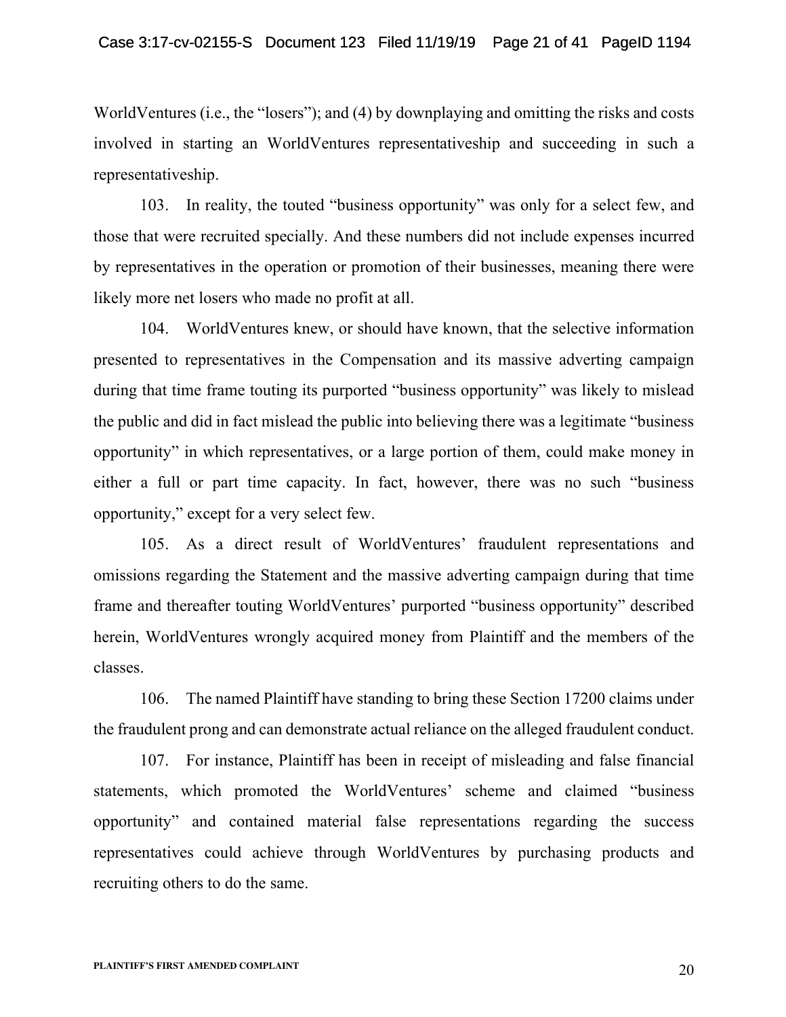WorldVentures (i.e., the "losers"); and (4) by downplaying and omitting the risks and costs involved in starting an WorldVentures representativeship and succeeding in such a representativeship.

103. In reality, the touted "business opportunity" was only for a select few, and those that were recruited specially. And these numbers did not include expenses incurred by representatives in the operation or promotion of their businesses, meaning there were likely more net losers who made no profit at all.

104. WorldVentures knew, or should have known, that the selective information presented to representatives in the Compensation and its massive adverting campaign during that time frame touting its purported "business opportunity" was likely to mislead the public and did in fact mislead the public into believing there was a legitimate "business opportunity" in which representatives, or a large portion of them, could make money in either a full or part time capacity. In fact, however, there was no such "business opportunity," except for a very select few.

105. As a direct result of WorldVentures' fraudulent representations and omissions regarding the Statement and the massive adverting campaign during that time frame and thereafter touting WorldVentures' purported "business opportunity" described herein, WorldVentures wrongly acquired money from Plaintiff and the members of the classes.

106. The named Plaintiff have standing to bring these Section 17200 claims under the fraudulent prong and can demonstrate actual reliance on the alleged fraudulent conduct.

107. For instance, Plaintiff has been in receipt of misleading and false financial statements, which promoted the WorldVentures' scheme and claimed "business opportunity" and contained material false representations regarding the success representatives could achieve through WorldVentures by purchasing products and recruiting others to do the same.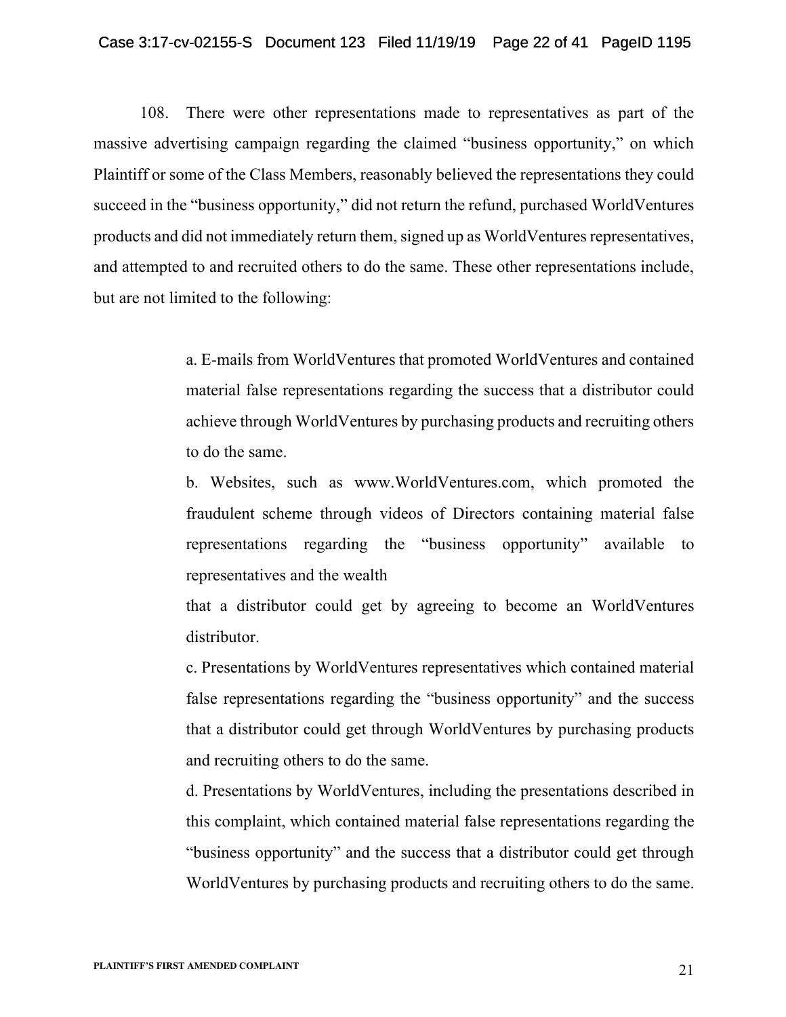#### Case 3:17-cv-02155-S Document 123 Filed 11/19/19 Page 22 of 41 PageID 1195

108. There were other representations made to representatives as part of the massive advertising campaign regarding the claimed "business opportunity," on which Plaintiff or some of the Class Members, reasonably believed the representations they could succeed in the "business opportunity," did not return the refund, purchased WorldVentures products and did not immediately return them, signed up as WorldVentures representatives, and attempted to and recruited others to do the same. These other representations include, but are not limited to the following:

> a. E-mails from WorldVentures that promoted WorldVentures and contained material false representations regarding the success that a distributor could achieve through WorldVentures by purchasing products and recruiting others to do the same.

> b. Websites, such as www.WorldVentures.com, which promoted the fraudulent scheme through videos of Directors containing material false representations regarding the "business opportunity" available to representatives and the wealth

> that a distributor could get by agreeing to become an WorldVentures distributor.

> c. Presentations by WorldVentures representatives which contained material false representations regarding the "business opportunity" and the success that a distributor could get through WorldVentures by purchasing products and recruiting others to do the same.

> d. Presentations by WorldVentures, including the presentations described in this complaint, which contained material false representations regarding the "business opportunity" and the success that a distributor could get through WorldVentures by purchasing products and recruiting others to do the same.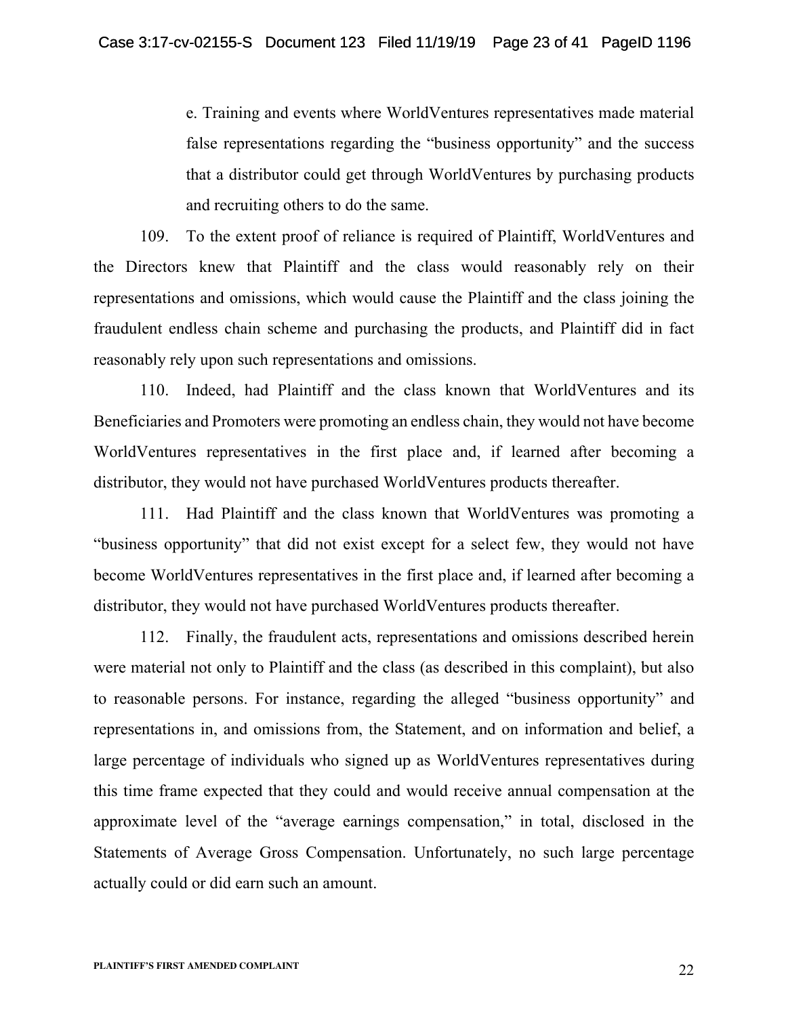e. Training and events where WorldVentures representatives made material false representations regarding the "business opportunity" and the success that a distributor could get through WorldVentures by purchasing products and recruiting others to do the same.

109. To the extent proof of reliance is required of Plaintiff, WorldVentures and the Directors knew that Plaintiff and the class would reasonably rely on their representations and omissions, which would cause the Plaintiff and the class joining the fraudulent endless chain scheme and purchasing the products, and Plaintiff did in fact reasonably rely upon such representations and omissions.

110. Indeed, had Plaintiff and the class known that WorldVentures and its Beneficiaries and Promoters were promoting an endless chain, they would not have become WorldVentures representatives in the first place and, if learned after becoming a distributor, they would not have purchased WorldVentures products thereafter.

111. Had Plaintiff and the class known that WorldVentures was promoting a "business opportunity" that did not exist except for a select few, they would not have become WorldVentures representatives in the first place and, if learned after becoming a distributor, they would not have purchased WorldVentures products thereafter.

112. Finally, the fraudulent acts, representations and omissions described herein were material not only to Plaintiff and the class (as described in this complaint), but also to reasonable persons. For instance, regarding the alleged "business opportunity" and representations in, and omissions from, the Statement, and on information and belief, a large percentage of individuals who signed up as WorldVentures representatives during this time frame expected that they could and would receive annual compensation at the approximate level of the "average earnings compensation," in total, disclosed in the Statements of Average Gross Compensation. Unfortunately, no such large percentage actually could or did earn such an amount.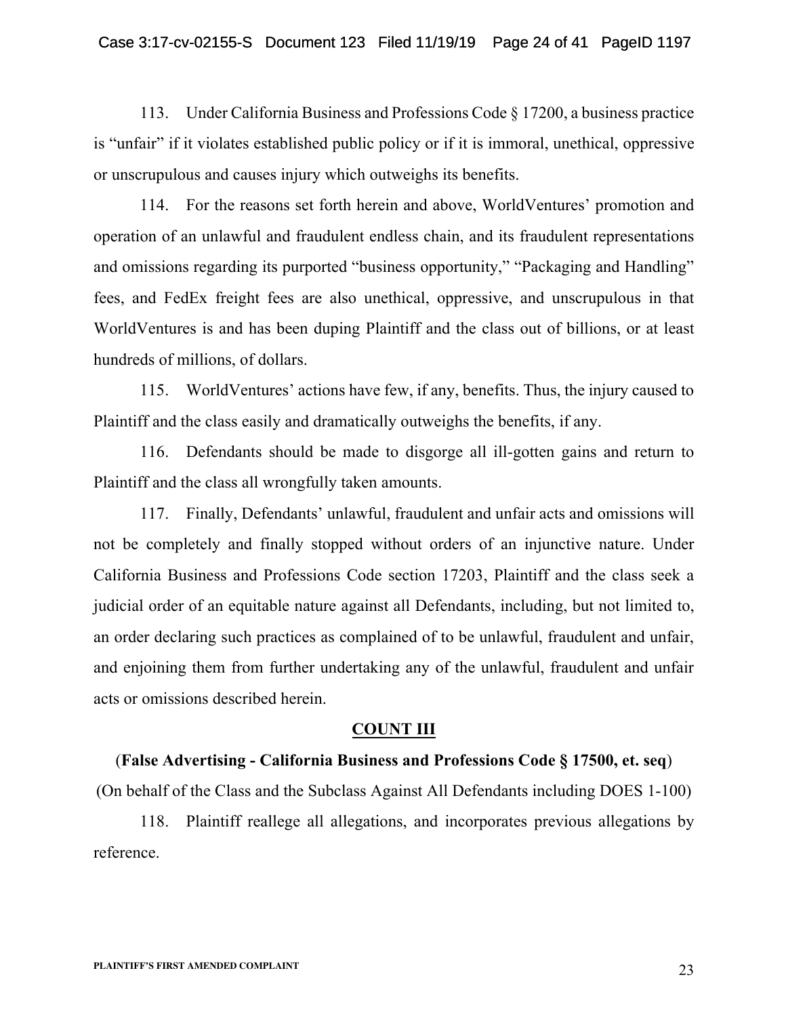113. Under California Business and Professions Code § 17200, a business practice is "unfair" if it violates established public policy or if it is immoral, unethical, oppressive or unscrupulous and causes injury which outweighs its benefits.

114. For the reasons set forth herein and above, WorldVentures' promotion and operation of an unlawful and fraudulent endless chain, and its fraudulent representations and omissions regarding its purported "business opportunity," "Packaging and Handling" fees, and FedEx freight fees are also unethical, oppressive, and unscrupulous in that WorldVentures is and has been duping Plaintiff and the class out of billions, or at least hundreds of millions, of dollars.

115. WorldVentures' actions have few, if any, benefits. Thus, the injury caused to Plaintiff and the class easily and dramatically outweighs the benefits, if any.

116. Defendants should be made to disgorge all ill-gotten gains and return to Plaintiff and the class all wrongfully taken amounts.

117. Finally, Defendants' unlawful, fraudulent and unfair acts and omissions will not be completely and finally stopped without orders of an injunctive nature. Under California Business and Professions Code section 17203, Plaintiff and the class seek a judicial order of an equitable nature against all Defendants, including, but not limited to, an order declaring such practices as complained of to be unlawful, fraudulent and unfair, and enjoining them from further undertaking any of the unlawful, fraudulent and unfair acts or omissions described herein.

## **COUNT III**

## (**False Advertising - California Business and Professions Code § 17500, et. seq**)

(On behalf of the Class and the Subclass Against All Defendants including DOES 1-100)

118. Plaintiff reallege all allegations, and incorporates previous allegations by reference.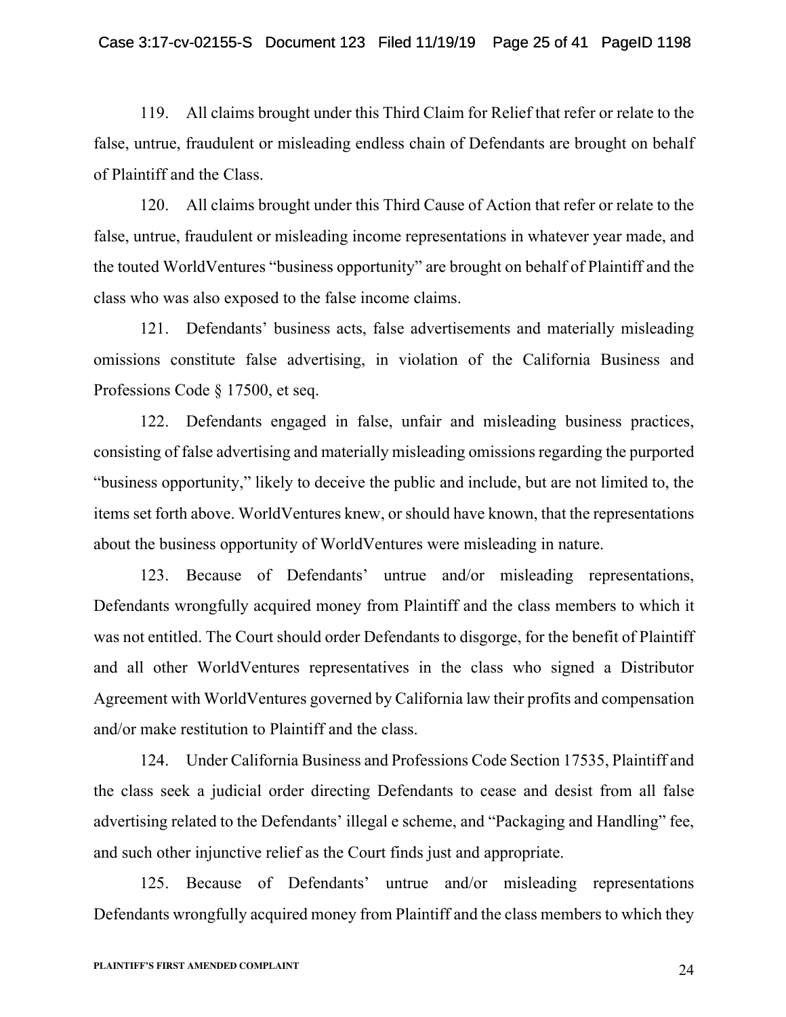119. All claims brought under this Third Claim for Relief that refer or relate to the false, untrue, fraudulent or misleading endless chain of Defendants are brought on behalf of Plaintiff and the Class.

120. All claims brought under this Third Cause of Action that refer or relate to the false, untrue, fraudulent or misleading income representations in whatever year made, and the touted WorldVentures "business opportunity" are brought on behalf of Plaintiff and the class who was also exposed to the false income claims.

121. Defendants' business acts, false advertisements and materially misleading omissions constitute false advertising, in violation of the California Business and Professions Code § 17500, et seq.

122. Defendants engaged in false, unfair and misleading business practices, consisting of false advertising and materially misleading omissions regarding the purported "business opportunity," likely to deceive the public and include, but are not limited to, the items set forth above. WorldVentures knew, or should have known, that the representations about the business opportunity of WorldVentures were misleading in nature.

123. Because of Defendants' untrue and/or misleading representations, Defendants wrongfully acquired money from Plaintiff and the class members to which it was not entitled. The Court should order Defendants to disgorge, for the benefit of Plaintiff and all other WorldVentures representatives in the class who signed a Distributor Agreement with WorldVentures governed by California law their profits and compensation and/or make restitution to Plaintiff and the class.

124. Under California Business and Professions Code Section 17535, Plaintiff and the class seek a judicial order directing Defendants to cease and desist from all false advertising related to the Defendants' illegal e scheme, and "Packaging and Handling" fee, and such other injunctive relief as the Court finds just and appropriate.

125. Because of Defendants' untrue and/or misleading representations Defendants wrongfully acquired money from Plaintiff and the class members to which they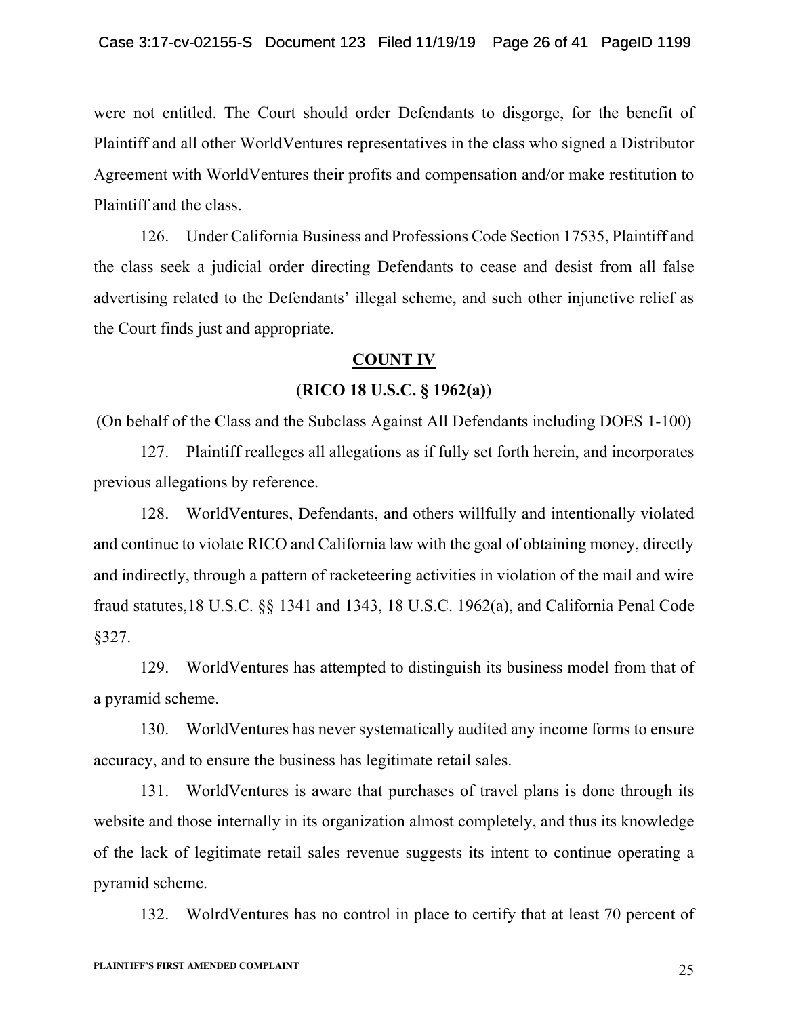were not entitled. The Court should order Defendants to disgorge, for the benefit of Plaintiff and all other WorldVentures representatives in the class who signed a Distributor Agreement with WorldVentures their profits and compensation and/or make restitution to Plaintiff and the class.

126. Under California Business and Professions Code Section 17535, Plaintiff and the class seek a judicial order directing Defendants to cease and desist from all false advertising related to the Defendants' illegal scheme, and such other injunctive relief as the Court finds just and appropriate.

## **COUNT IV**

## (**RICO 18 U.S.C. § 1962(a)**)

(On behalf of the Class and the Subclass Against All Defendants including DOES 1-100)

127. Plaintiff realleges all allegations as if fully set forth herein, and incorporates previous allegations by reference.

128. WorldVentures, Defendants, and others willfully and intentionally violated and continue to violate RICO and California law with the goal of obtaining money, directly and indirectly, through a pattern of racketeering activities in violation of the mail and wire fraud statutes,18 U.S.C. §§ 1341 and 1343, 18 U.S.C. 1962(a), and California Penal Code §327.

129. WorldVentures has attempted to distinguish its business model from that of a pyramid scheme.

130. WorldVentures has never systematically audited any income forms to ensure accuracy, and to ensure the business has legitimate retail sales.

131. WorldVentures is aware that purchases of travel plans is done through its website and those internally in its organization almost completely, and thus its knowledge of the lack of legitimate retail sales revenue suggests its intent to continue operating a pyramid scheme.

132. WolrdVentures has no control in place to certify that at least 70 percent of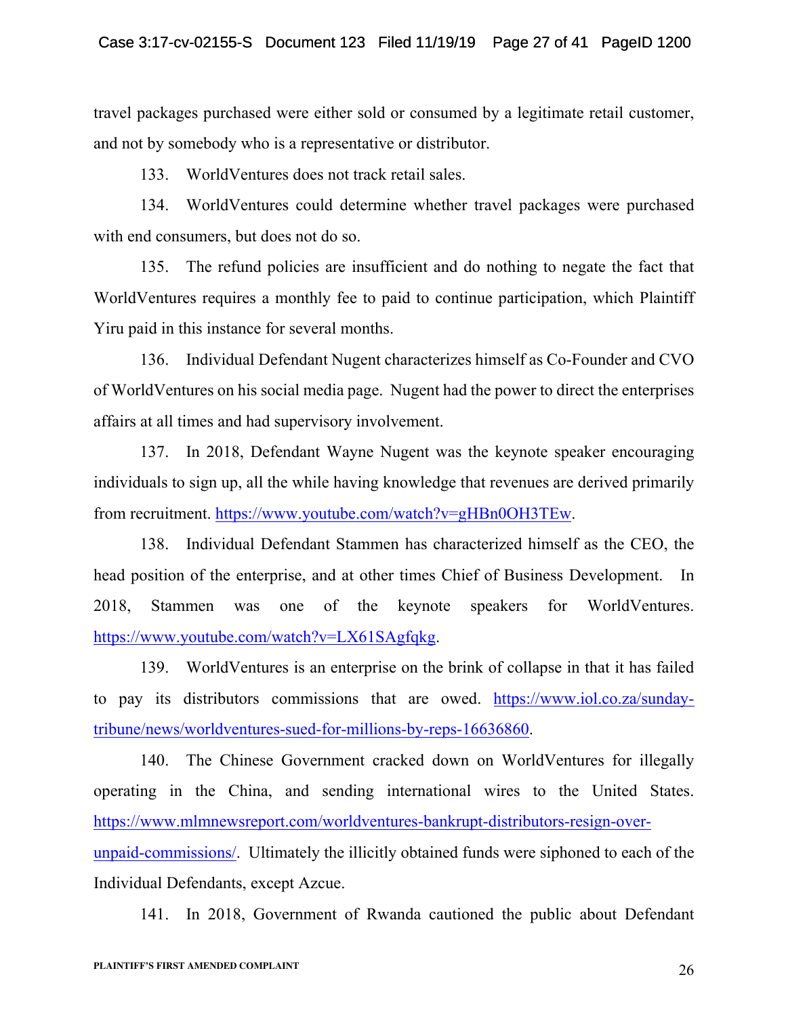travel packages purchased were either sold or consumed by a legitimate retail customer, and not by somebody who is a representative or distributor.

133. WorldVentures does not track retail sales.

134. WorldVentures could determine whether travel packages were purchased with end consumers, but does not do so.

135. The refund policies are insufficient and do nothing to negate the fact that WorldVentures requires a monthly fee to paid to continue participation, which Plaintiff Yiru paid in this instance for several months.

136. Individual Defendant Nugent characterizes himself as Co-Founder and CVO of WorldVentures on his social media page. Nugent had the power to direct the enterprises affairs at all times and had supervisory involvement.

137. In 2018, Defendant Wayne Nugent was the keynote speaker encouraging individuals to sign up, all the while having knowledge that revenues are derived primarily from recruitment. https://www.youtube.com/watch?v=gHBn0OH3TEw.

138. Individual Defendant Stammen has characterized himself as the CEO, the head position of the enterprise, and at other times Chief of Business Development. In 2018, Stammen was one of the keynote speakers for WorldVentures. https://www.youtube.com/watch?v=LX61SAgfqkg.

139. WorldVentures is an enterprise on the brink of collapse in that it has failed to pay its distributors commissions that are owed. https://www.iol.co.za/sundaytribune/news/worldventures-sued-for-millions-by-reps-16636860.

140. The Chinese Government cracked down on WorldVentures for illegally operating in the China, and sending international wires to the United States. https://www.mlmnewsreport.com/worldventures-bankrupt-distributors-resign-overunpaid-commissions/. Ultimately the illicitly obtained funds were siphoned to each of the Individual Defendants, except Azcue.

141. In 2018, Government of Rwanda cautioned the public about Defendant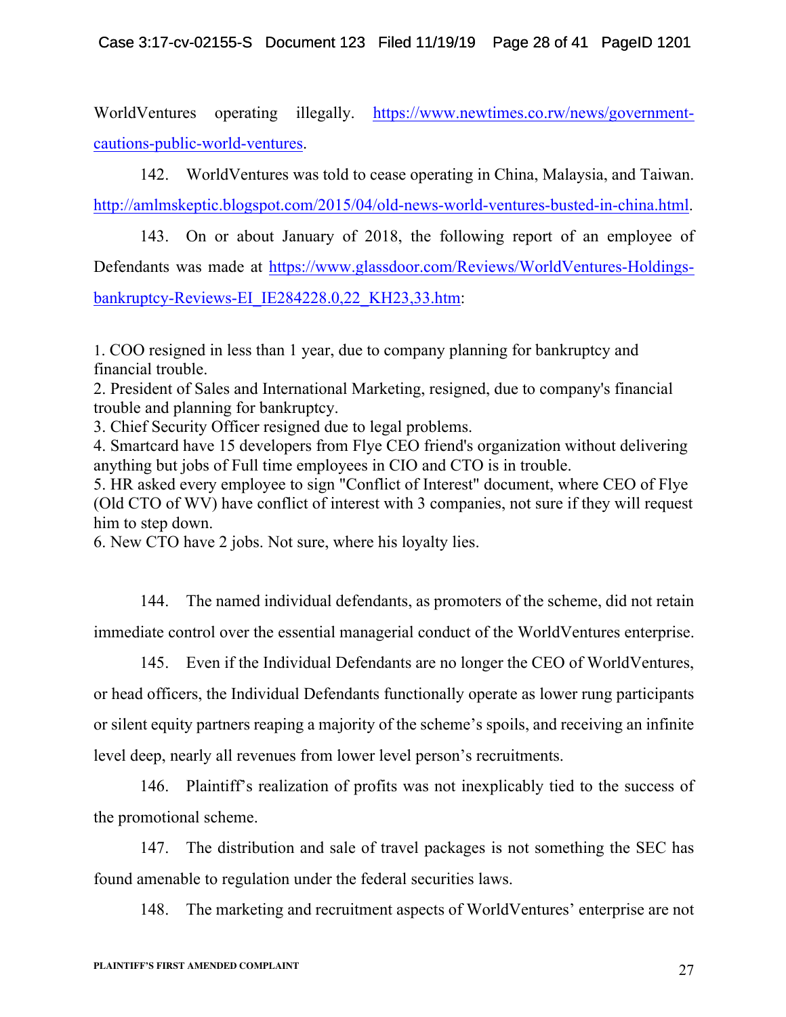WorldVentures operating illegally. https://www.newtimes.co.rw/news/governmentcautions-public-world-ventures.

142. WorldVentures was told to cease operating in China, Malaysia, and Taiwan.

http://amlmskeptic.blogspot.com/2015/04/old-news-world-ventures-busted-in-china.html.

143. On or about January of 2018, the following report of an employee of Defendants was made at https://www.glassdoor.com/Reviews/WorldVentures-Holdingsbankruptcy-Reviews-EI\_IE284228.0,22\_KH23,33.htm:

1. COO resigned in less than 1 year, due to company planning for bankruptcy and financial trouble.

2. President of Sales and International Marketing, resigned, due to company's financial trouble and planning for bankruptcy.

3. Chief Security Officer resigned due to legal problems.

4. Smartcard have 15 developers from Flye CEO friend's organization without delivering anything but jobs of Full time employees in CIO and CTO is in trouble.

5. HR asked every employee to sign "Conflict of Interest" document, where CEO of Flye (Old CTO of WV) have conflict of interest with 3 companies, not sure if they will request him to step down.

6. New CTO have 2 jobs. Not sure, where his loyalty lies.

144. The named individual defendants, as promoters of the scheme, did not retain immediate control over the essential managerial conduct of the WorldVentures enterprise.

145. Even if the Individual Defendants are no longer the CEO of WorldVentures, or head officers, the Individual Defendants functionally operate as lower rung participants or silent equity partners reaping a majority of the scheme's spoils, and receiving an infinite level deep, nearly all revenues from lower level person's recruitments.

146. Plaintiff's realization of profits was not inexplicably tied to the success of the promotional scheme.

147. The distribution and sale of travel packages is not something the SEC has found amenable to regulation under the federal securities laws.

148. The marketing and recruitment aspects of WorldVentures' enterprise are not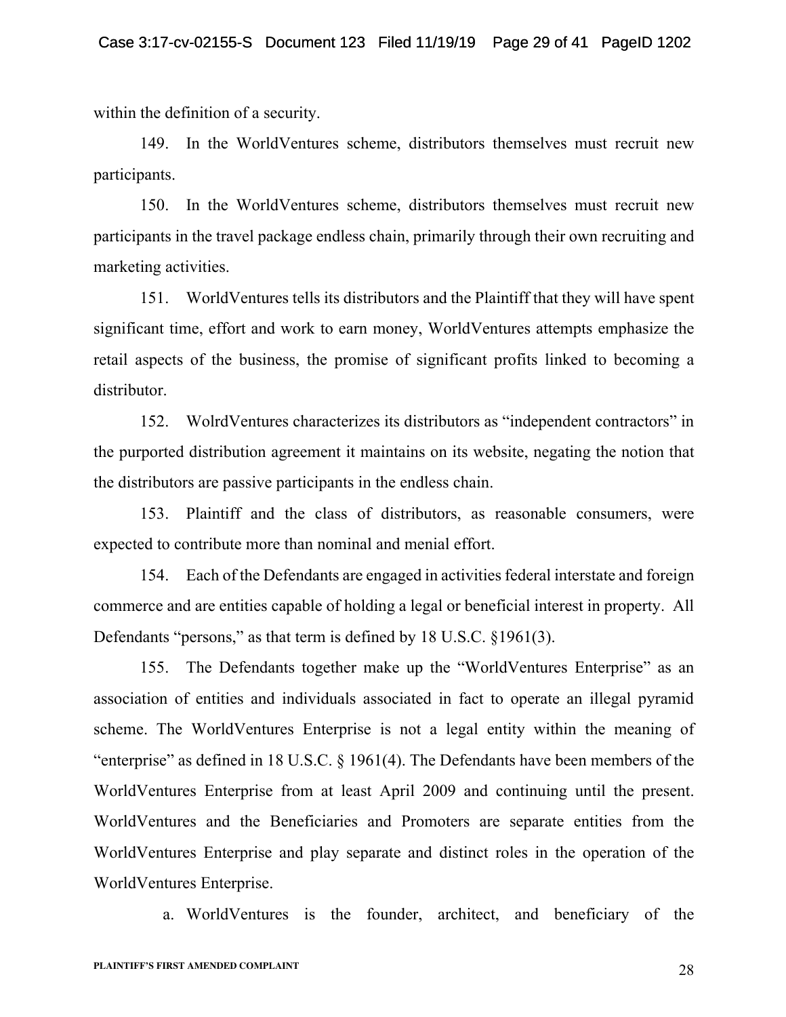within the definition of a security.

149. In the WorldVentures scheme, distributors themselves must recruit new participants.

150. In the WorldVentures scheme, distributors themselves must recruit new participants in the travel package endless chain, primarily through their own recruiting and marketing activities.

151. WorldVentures tells its distributors and the Plaintiff that they will have spent significant time, effort and work to earn money, WorldVentures attempts emphasize the retail aspects of the business, the promise of significant profits linked to becoming a distributor.

152. WolrdVentures characterizes its distributors as "independent contractors" in the purported distribution agreement it maintains on its website, negating the notion that the distributors are passive participants in the endless chain.

153. Plaintiff and the class of distributors, as reasonable consumers, were expected to contribute more than nominal and menial effort.

154. Each of the Defendants are engaged in activities federal interstate and foreign commerce and are entities capable of holding a legal or beneficial interest in property. All Defendants "persons," as that term is defined by 18 U.S.C. §1961(3).

155. The Defendants together make up the "WorldVentures Enterprise" as an association of entities and individuals associated in fact to operate an illegal pyramid scheme. The WorldVentures Enterprise is not a legal entity within the meaning of "enterprise" as defined in 18 U.S.C.  $\S$  1961(4). The Defendants have been members of the WorldVentures Enterprise from at least April 2009 and continuing until the present. WorldVentures and the Beneficiaries and Promoters are separate entities from the WorldVentures Enterprise and play separate and distinct roles in the operation of the WorldVentures Enterprise.

a. WorldVentures is the founder, architect, and beneficiary of the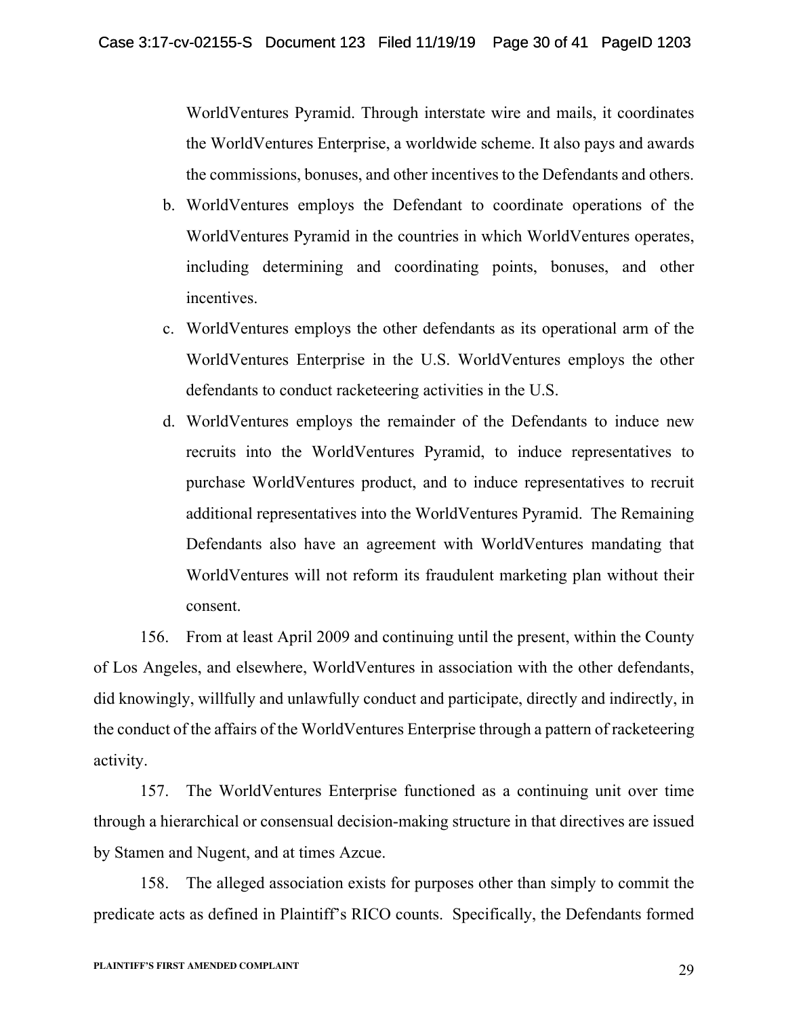WorldVentures Pyramid. Through interstate wire and mails, it coordinates the WorldVentures Enterprise, a worldwide scheme. It also pays and awards the commissions, bonuses, and other incentives to the Defendants and others.

- b. WorldVentures employs the Defendant to coordinate operations of the WorldVentures Pyramid in the countries in which WorldVentures operates, including determining and coordinating points, bonuses, and other incentives.
- c. WorldVentures employs the other defendants as its operational arm of the WorldVentures Enterprise in the U.S. WorldVentures employs the other defendants to conduct racketeering activities in the U.S.
- d. WorldVentures employs the remainder of the Defendants to induce new recruits into the WorldVentures Pyramid, to induce representatives to purchase WorldVentures product, and to induce representatives to recruit additional representatives into the WorldVentures Pyramid. The Remaining Defendants also have an agreement with WorldVentures mandating that WorldVentures will not reform its fraudulent marketing plan without their consent.

156. From at least April 2009 and continuing until the present, within the County of Los Angeles, and elsewhere, WorldVentures in association with the other defendants, did knowingly, willfully and unlawfully conduct and participate, directly and indirectly, in the conduct of the affairs of the WorldVentures Enterprise through a pattern of racketeering activity.

157. The WorldVentures Enterprise functioned as a continuing unit over time through a hierarchical or consensual decision-making structure in that directives are issued by Stamen and Nugent, and at times Azcue.

158. The alleged association exists for purposes other than simply to commit the predicate acts as defined in Plaintiff's RICO counts. Specifically, the Defendants formed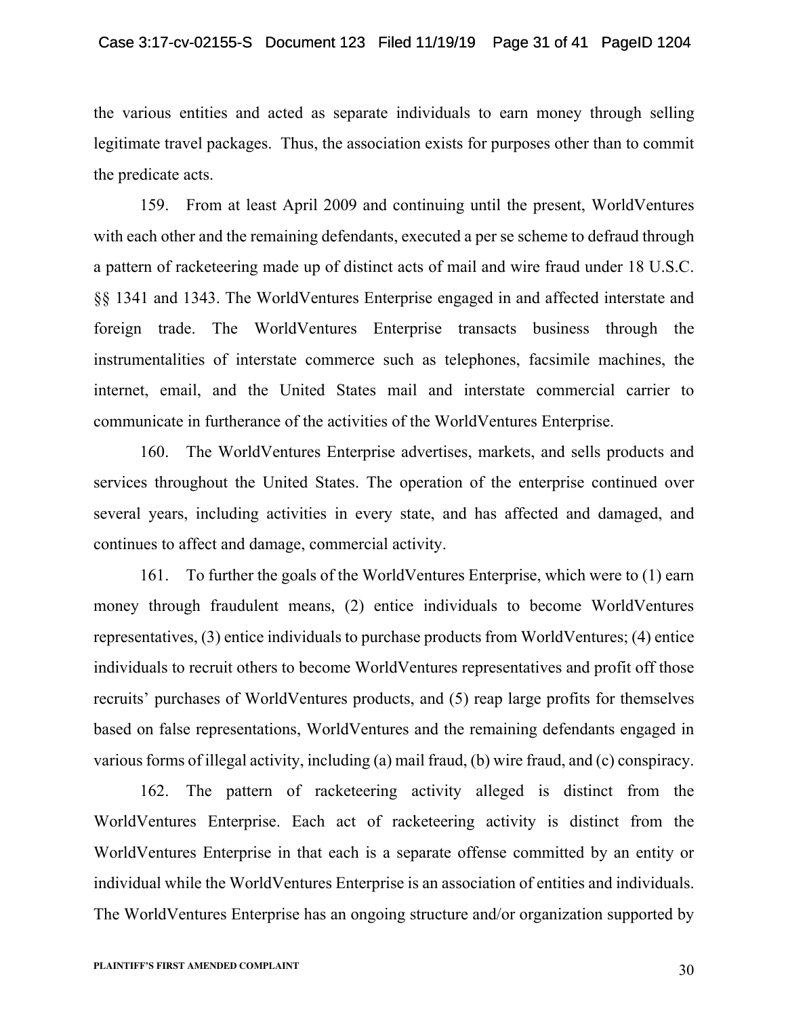the various entities and acted as separate individuals to earn money through selling legitimate travel packages. Thus, the association exists for purposes other than to commit the predicate acts.

159. From at least April 2009 and continuing until the present, WorldVentures with each other and the remaining defendants, executed a per se scheme to defraud through a pattern of racketeering made up of distinct acts of mail and wire fraud under 18 U.S.C. §§ 1341 and 1343. The WorldVentures Enterprise engaged in and affected interstate and foreign trade. The WorldVentures Enterprise transacts business through the instrumentalities of interstate commerce such as telephones, facsimile machines, the internet, email, and the United States mail and interstate commercial carrier to communicate in furtherance of the activities of the WorldVentures Enterprise.

160. The WorldVentures Enterprise advertises, markets, and sells products and services throughout the United States. The operation of the enterprise continued over several years, including activities in every state, and has affected and damaged, and continues to affect and damage, commercial activity.

161. To further the goals of the WorldVentures Enterprise, which were to (1) earn money through fraudulent means, (2) entice individuals to become WorldVentures representatives, (3) entice individuals to purchase products from WorldVentures; (4) entice individuals to recruit others to become WorldVentures representatives and profit off those recruits' purchases of WorldVentures products, and (5) reap large profits for themselves based on false representations, WorldVentures and the remaining defendants engaged in various forms of illegal activity, including (a) mail fraud, (b) wire fraud, and (c) conspiracy.

162. The pattern of racketeering activity alleged is distinct from the WorldVentures Enterprise. Each act of racketeering activity is distinct from the WorldVentures Enterprise in that each is a separate offense committed by an entity or individual while the WorldVentures Enterprise is an association of entities and individuals. The WorldVentures Enterprise has an ongoing structure and/or organization supported by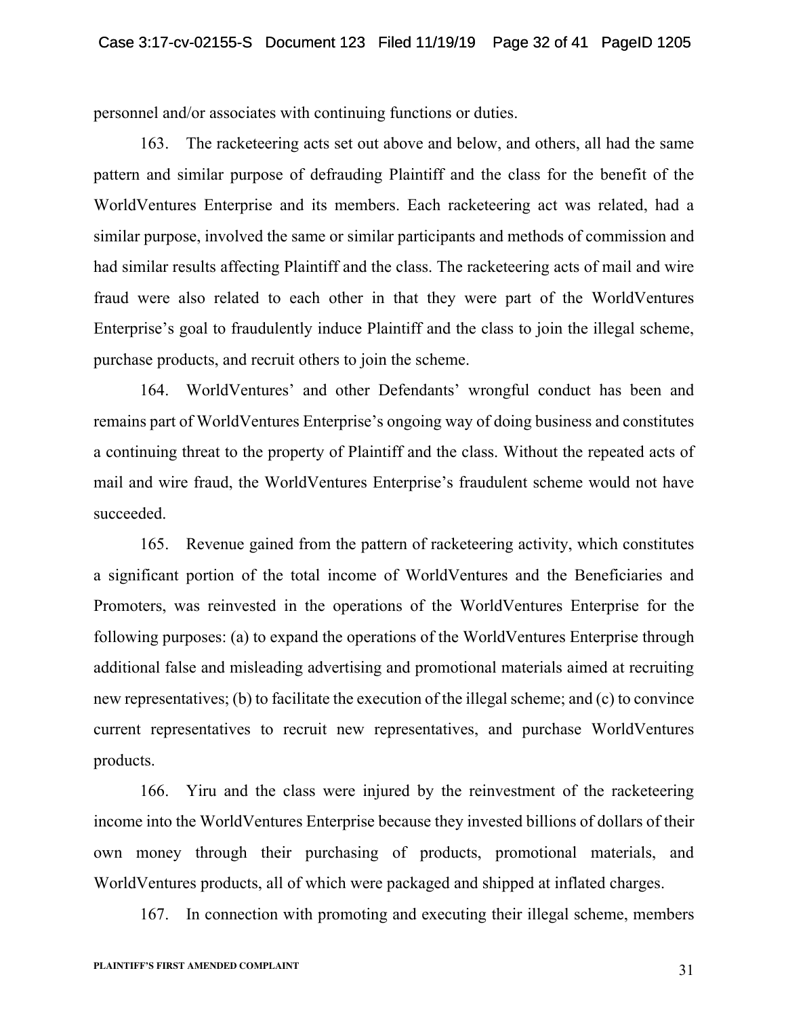personnel and/or associates with continuing functions or duties.

163. The racketeering acts set out above and below, and others, all had the same pattern and similar purpose of defrauding Plaintiff and the class for the benefit of the WorldVentures Enterprise and its members. Each racketeering act was related, had a similar purpose, involved the same or similar participants and methods of commission and had similar results affecting Plaintiff and the class. The racketeering acts of mail and wire fraud were also related to each other in that they were part of the WorldVentures Enterprise's goal to fraudulently induce Plaintiff and the class to join the illegal scheme, purchase products, and recruit others to join the scheme.

164. WorldVentures' and other Defendants' wrongful conduct has been and remains part of WorldVentures Enterprise's ongoing way of doing business and constitutes a continuing threat to the property of Plaintiff and the class. Without the repeated acts of mail and wire fraud, the WorldVentures Enterprise's fraudulent scheme would not have succeeded.

165. Revenue gained from the pattern of racketeering activity, which constitutes a significant portion of the total income of WorldVentures and the Beneficiaries and Promoters, was reinvested in the operations of the WorldVentures Enterprise for the following purposes: (a) to expand the operations of the WorldVentures Enterprise through additional false and misleading advertising and promotional materials aimed at recruiting new representatives; (b) to facilitate the execution of the illegal scheme; and (c) to convince current representatives to recruit new representatives, and purchase WorldVentures products.

166. Yiru and the class were injured by the reinvestment of the racketeering income into the WorldVentures Enterprise because they invested billions of dollars of their own money through their purchasing of products, promotional materials, and WorldVentures products, all of which were packaged and shipped at inflated charges.

167. In connection with promoting and executing their illegal scheme, members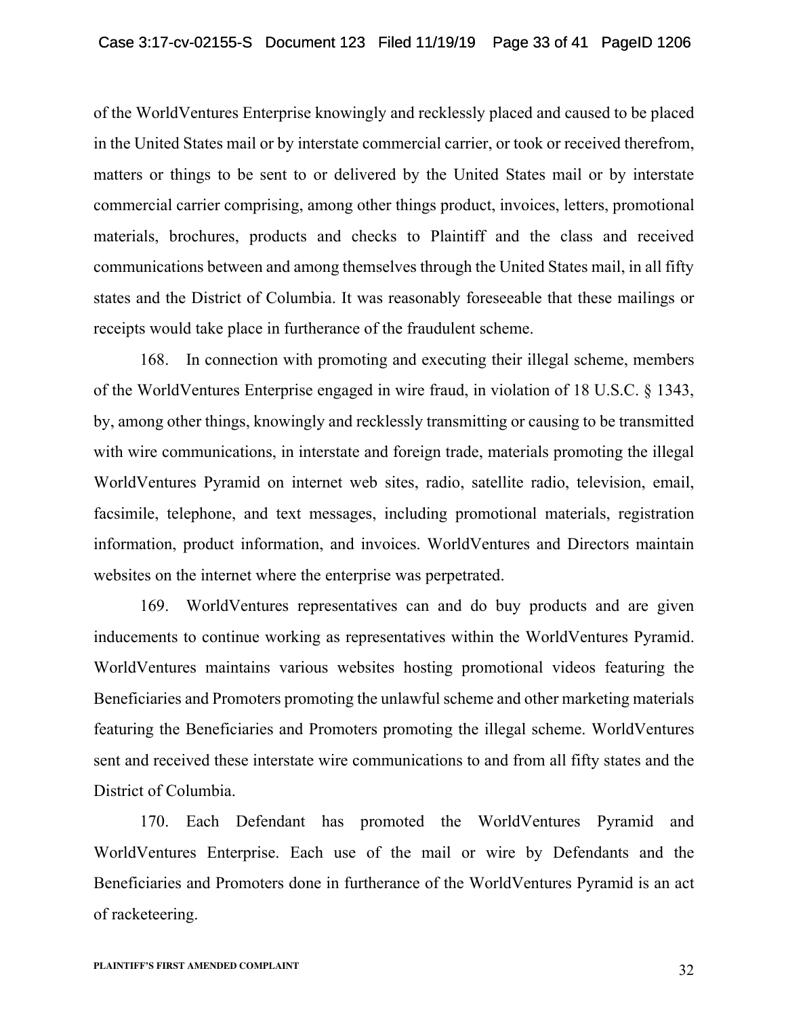of the WorldVentures Enterprise knowingly and recklessly placed and caused to be placed in the United States mail or by interstate commercial carrier, or took or received therefrom, matters or things to be sent to or delivered by the United States mail or by interstate commercial carrier comprising, among other things product, invoices, letters, promotional materials, brochures, products and checks to Plaintiff and the class and received communications between and among themselves through the United States mail, in all fifty states and the District of Columbia. It was reasonably foreseeable that these mailings or receipts would take place in furtherance of the fraudulent scheme.

168. In connection with promoting and executing their illegal scheme, members of the WorldVentures Enterprise engaged in wire fraud, in violation of 18 U.S.C. § 1343, by, among other things, knowingly and recklessly transmitting or causing to be transmitted with wire communications, in interstate and foreign trade, materials promoting the illegal WorldVentures Pyramid on internet web sites, radio, satellite radio, television, email, facsimile, telephone, and text messages, including promotional materials, registration information, product information, and invoices. WorldVentures and Directors maintain websites on the internet where the enterprise was perpetrated.

169. WorldVentures representatives can and do buy products and are given inducements to continue working as representatives within the WorldVentures Pyramid. WorldVentures maintains various websites hosting promotional videos featuring the Beneficiaries and Promoters promoting the unlawful scheme and other marketing materials featuring the Beneficiaries and Promoters promoting the illegal scheme. WorldVentures sent and received these interstate wire communications to and from all fifty states and the District of Columbia.

170. Each Defendant has promoted the WorldVentures Pyramid and WorldVentures Enterprise. Each use of the mail or wire by Defendants and the Beneficiaries and Promoters done in furtherance of the WorldVentures Pyramid is an act of racketeering.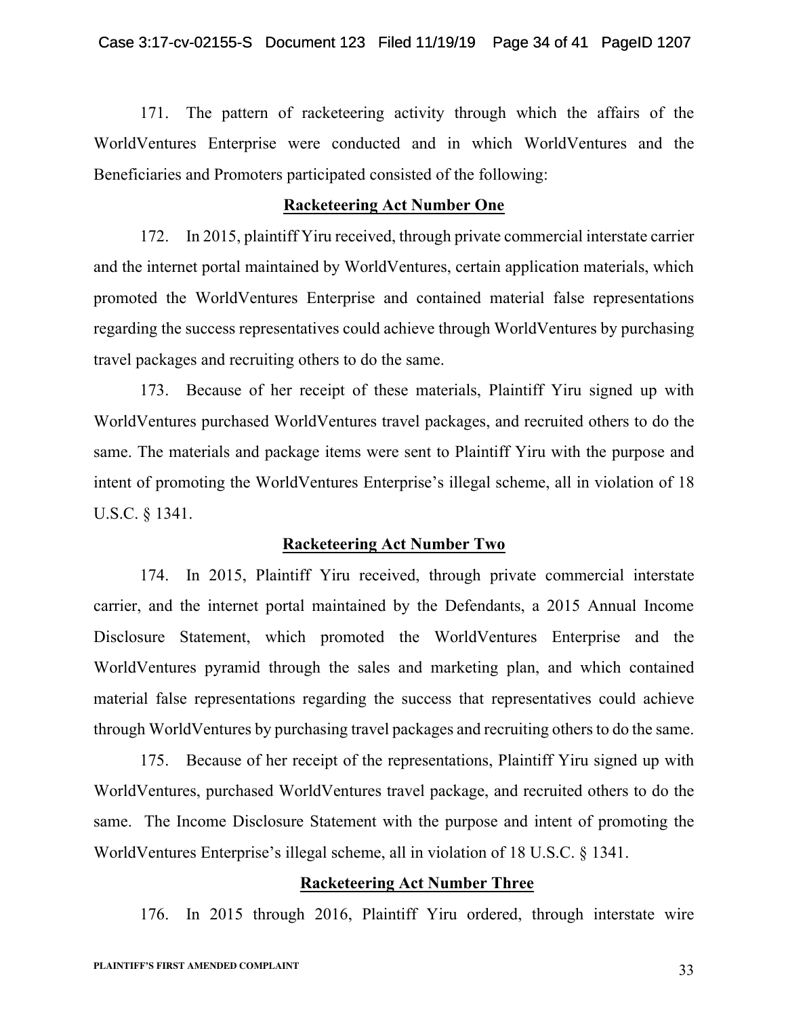171. The pattern of racketeering activity through which the affairs of the WorldVentures Enterprise were conducted and in which WorldVentures and the Beneficiaries and Promoters participated consisted of the following:

# **Racketeering Act Number One**

172. In 2015, plaintiff Yiru received, through private commercial interstate carrier and the internet portal maintained by WorldVentures, certain application materials, which promoted the WorldVentures Enterprise and contained material false representations regarding the success representatives could achieve through WorldVentures by purchasing travel packages and recruiting others to do the same.

173. Because of her receipt of these materials, Plaintiff Yiru signed up with WorldVentures purchased WorldVentures travel packages, and recruited others to do the same. The materials and package items were sent to Plaintiff Yiru with the purpose and intent of promoting the WorldVentures Enterprise's illegal scheme, all in violation of 18 U.S.C. § 1341.

# **Racketeering Act Number Two**

174. In 2015, Plaintiff Yiru received, through private commercial interstate carrier, and the internet portal maintained by the Defendants, a 2015 Annual Income Disclosure Statement, which promoted the WorldVentures Enterprise and the WorldVentures pyramid through the sales and marketing plan, and which contained material false representations regarding the success that representatives could achieve through WorldVentures by purchasing travel packages and recruiting others to do the same.

175. Because of her receipt of the representations, Plaintiff Yiru signed up with WorldVentures, purchased WorldVentures travel package, and recruited others to do the same. The Income Disclosure Statement with the purpose and intent of promoting the WorldVentures Enterprise's illegal scheme, all in violation of 18 U.S.C. § 1341.

# **Racketeering Act Number Three**

176. In 2015 through 2016, Plaintiff Yiru ordered, through interstate wire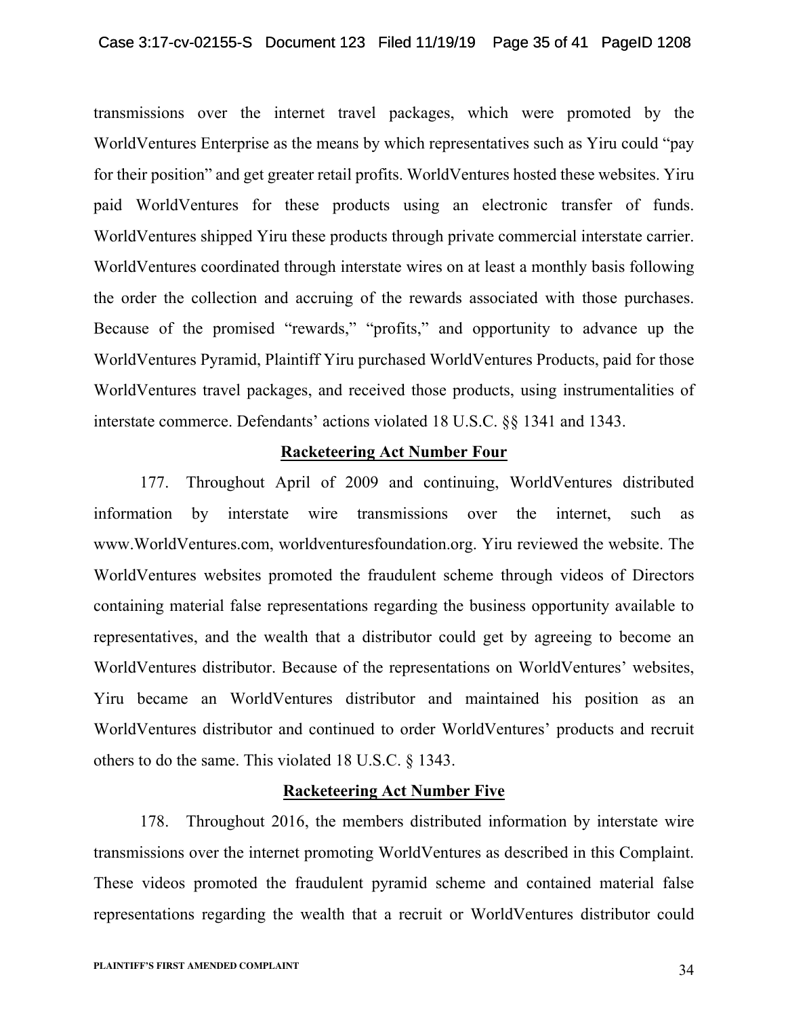transmissions over the internet travel packages, which were promoted by the WorldVentures Enterprise as the means by which representatives such as Yiru could "pay for their position" and get greater retail profits. WorldVentures hosted these websites. Yiru paid WorldVentures for these products using an electronic transfer of funds. WorldVentures shipped Yiru these products through private commercial interstate carrier. WorldVentures coordinated through interstate wires on at least a monthly basis following the order the collection and accruing of the rewards associated with those purchases. Because of the promised "rewards," "profits," and opportunity to advance up the WorldVentures Pyramid, Plaintiff Yiru purchased WorldVentures Products, paid for those WorldVentures travel packages, and received those products, using instrumentalities of interstate commerce. Defendants' actions violated 18 U.S.C. §§ 1341 and 1343.

# **Racketeering Act Number Four**

177. Throughout April of 2009 and continuing, WorldVentures distributed information by interstate wire transmissions over the internet, such as www.WorldVentures.com, worldventuresfoundation.org. Yiru reviewed the website. The WorldVentures websites promoted the fraudulent scheme through videos of Directors containing material false representations regarding the business opportunity available to representatives, and the wealth that a distributor could get by agreeing to become an WorldVentures distributor. Because of the representations on WorldVentures' websites, Yiru became an WorldVentures distributor and maintained his position as an WorldVentures distributor and continued to order WorldVentures' products and recruit others to do the same. This violated 18 U.S.C. § 1343.

# **Racketeering Act Number Five**

178. Throughout 2016, the members distributed information by interstate wire transmissions over the internet promoting WorldVentures as described in this Complaint. These videos promoted the fraudulent pyramid scheme and contained material false representations regarding the wealth that a recruit or WorldVentures distributor could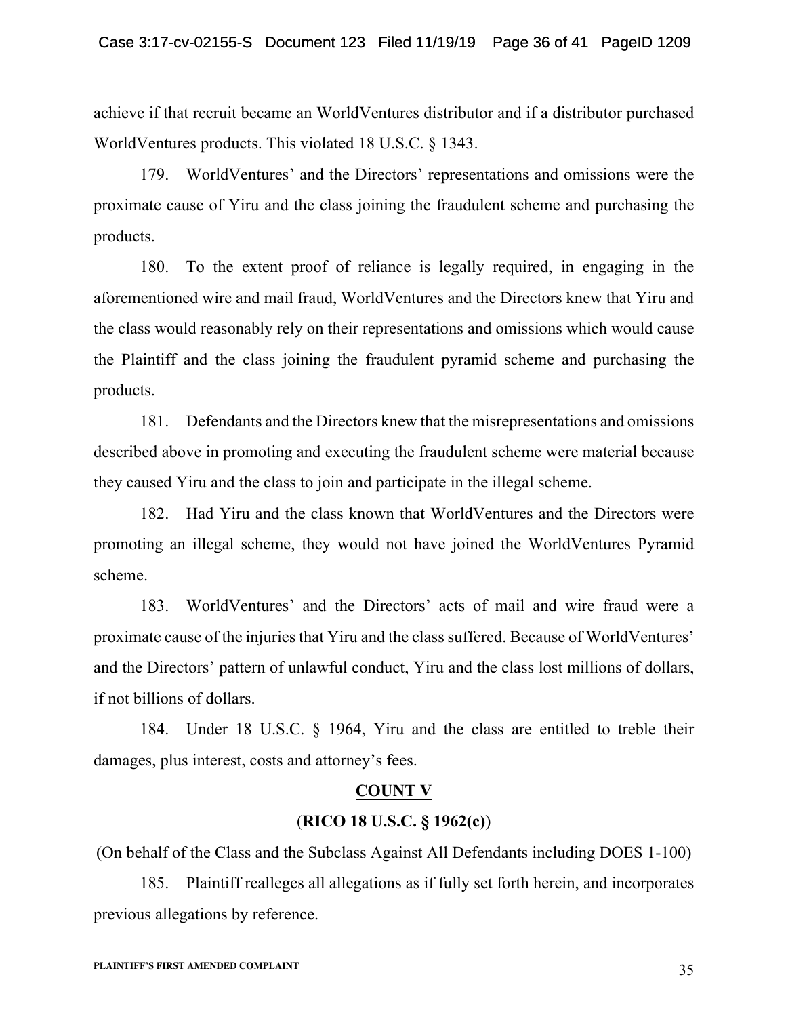achieve if that recruit became an WorldVentures distributor and if a distributor purchased WorldVentures products. This violated 18 U.S.C. § 1343.

179. WorldVentures' and the Directors' representations and omissions were the proximate cause of Yiru and the class joining the fraudulent scheme and purchasing the products.

180. To the extent proof of reliance is legally required, in engaging in the aforementioned wire and mail fraud, WorldVentures and the Directors knew that Yiru and the class would reasonably rely on their representations and omissions which would cause the Plaintiff and the class joining the fraudulent pyramid scheme and purchasing the products.

181. Defendants and the Directors knew that the misrepresentations and omissions described above in promoting and executing the fraudulent scheme were material because they caused Yiru and the class to join and participate in the illegal scheme.

182. Had Yiru and the class known that WorldVentures and the Directors were promoting an illegal scheme, they would not have joined the WorldVentures Pyramid scheme.

183. WorldVentures' and the Directors' acts of mail and wire fraud were a proximate cause of the injuries that Yiru and the class suffered. Because of WorldVentures' and the Directors' pattern of unlawful conduct, Yiru and the class lost millions of dollars, if not billions of dollars.

184. Under 18 U.S.C. § 1964, Yiru and the class are entitled to treble their damages, plus interest, costs and attorney's fees.

# **COUNT V**

## (**RICO 18 U.S.C. § 1962(c)**)

(On behalf of the Class and the Subclass Against All Defendants including DOES 1-100)

185. Plaintiff realleges all allegations as if fully set forth herein, and incorporates previous allegations by reference.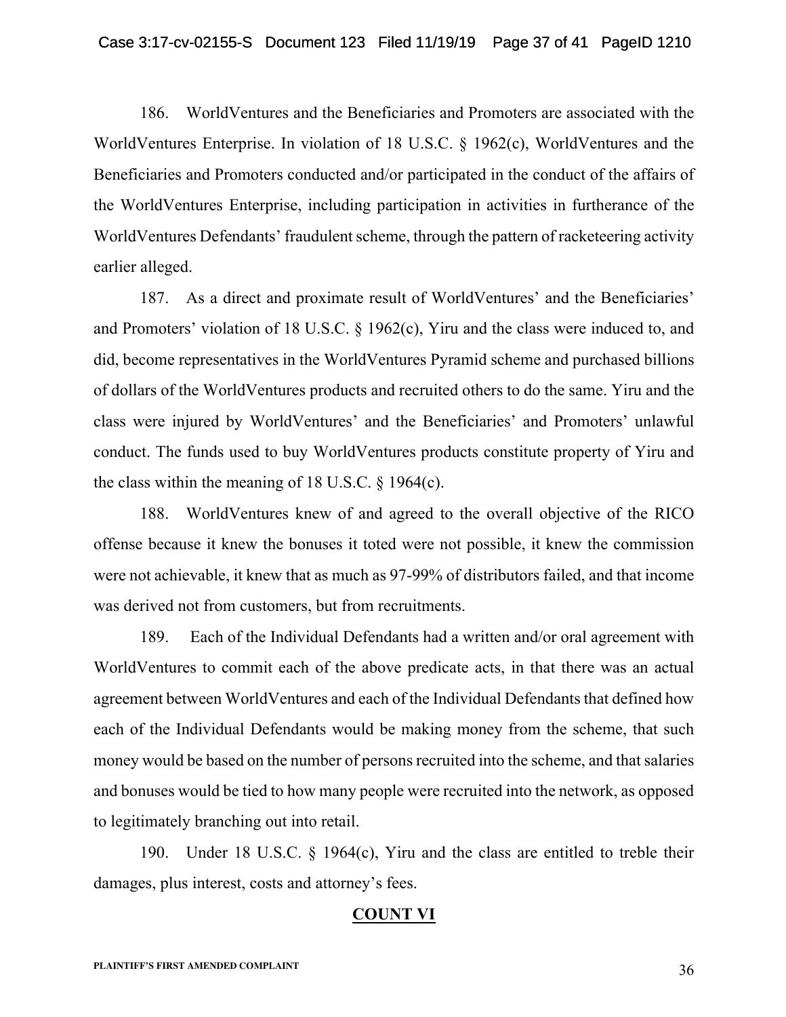186. WorldVentures and the Beneficiaries and Promoters are associated with the WorldVentures Enterprise. In violation of 18 U.S.C. § 1962(c), WorldVentures and the Beneficiaries and Promoters conducted and/or participated in the conduct of the affairs of the WorldVentures Enterprise, including participation in activities in furtherance of the WorldVentures Defendants' fraudulent scheme, through the pattern of racketeering activity earlier alleged.

187. As a direct and proximate result of WorldVentures' and the Beneficiaries' and Promoters' violation of 18 U.S.C. § 1962(c), Yiru and the class were induced to, and did, become representatives in the WorldVentures Pyramid scheme and purchased billions of dollars of the WorldVentures products and recruited others to do the same. Yiru and the class were injured by WorldVentures' and the Beneficiaries' and Promoters' unlawful conduct. The funds used to buy WorldVentures products constitute property of Yiru and the class within the meaning of 18 U.S.C. § 1964(c).

188. WorldVentures knew of and agreed to the overall objective of the RICO offense because it knew the bonuses it toted were not possible, it knew the commission were not achievable, it knew that as much as 97-99% of distributors failed, and that income was derived not from customers, but from recruitments.

189. Each of the Individual Defendants had a written and/or oral agreement with WorldVentures to commit each of the above predicate acts, in that there was an actual agreement between WorldVentures and each of the Individual Defendants that defined how each of the Individual Defendants would be making money from the scheme, that such money would be based on the number of persons recruited into the scheme, and that salaries and bonuses would be tied to how many people were recruited into the network, as opposed to legitimately branching out into retail.

190. Under 18 U.S.C. § 1964(c), Yiru and the class are entitled to treble their damages, plus interest, costs and attorney's fees.

# **COUNT VI**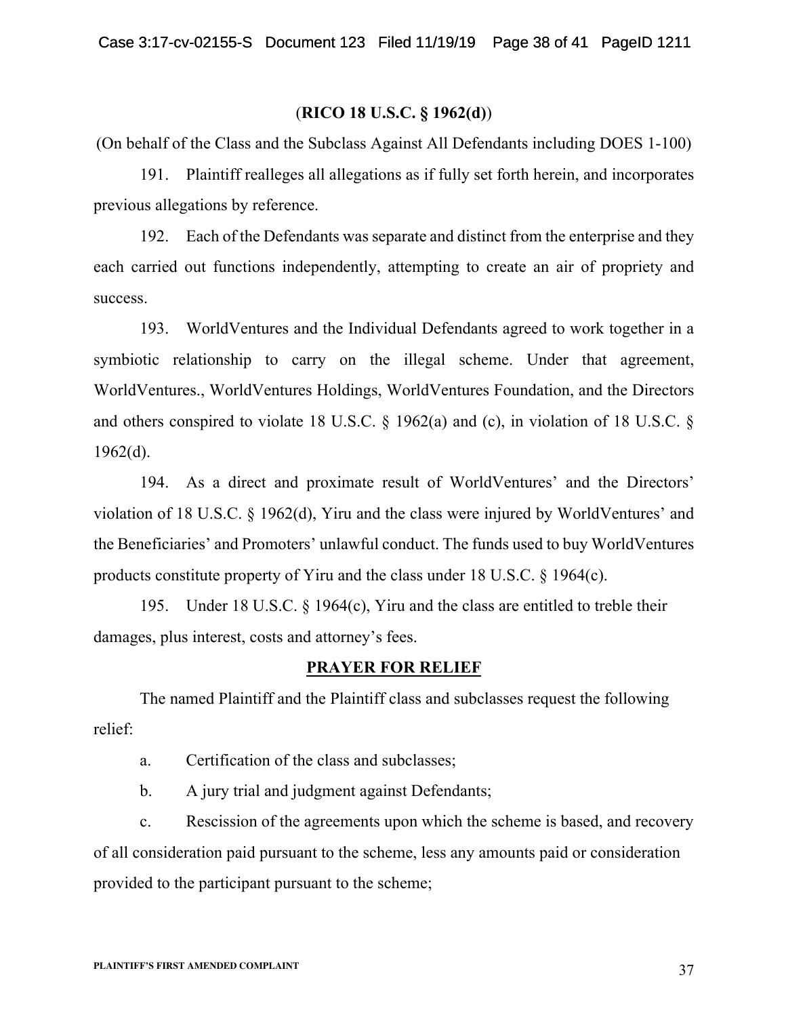## (**RICO 18 U.S.C. § 1962(d)**)

(On behalf of the Class and the Subclass Against All Defendants including DOES 1-100)

191. Plaintiff realleges all allegations as if fully set forth herein, and incorporates previous allegations by reference.

192. Each of the Defendants was separate and distinct from the enterprise and they each carried out functions independently, attempting to create an air of propriety and success.

193. WorldVentures and the Individual Defendants agreed to work together in a symbiotic relationship to carry on the illegal scheme. Under that agreement, WorldVentures., WorldVentures Holdings, WorldVentures Foundation, and the Directors and others conspired to violate 18 U.S.C. § 1962(a) and (c), in violation of 18 U.S.C. §  $1962(d)$ .

194. As a direct and proximate result of WorldVentures' and the Directors' violation of 18 U.S.C. § 1962(d), Yiru and the class were injured by WorldVentures' and the Beneficiaries' and Promoters' unlawful conduct. The funds used to buy WorldVentures products constitute property of Yiru and the class under 18 U.S.C. § 1964(c).

195. Under 18 U.S.C. § 1964(c), Yiru and the class are entitled to treble their damages, plus interest, costs and attorney's fees.

### **PRAYER FOR RELIEF**

The named Plaintiff and the Plaintiff class and subclasses request the following relief:

a. Certification of the class and subclasses;

b. A jury trial and judgment against Defendants;

c. Rescission of the agreements upon which the scheme is based, and recovery of all consideration paid pursuant to the scheme, less any amounts paid or consideration provided to the participant pursuant to the scheme;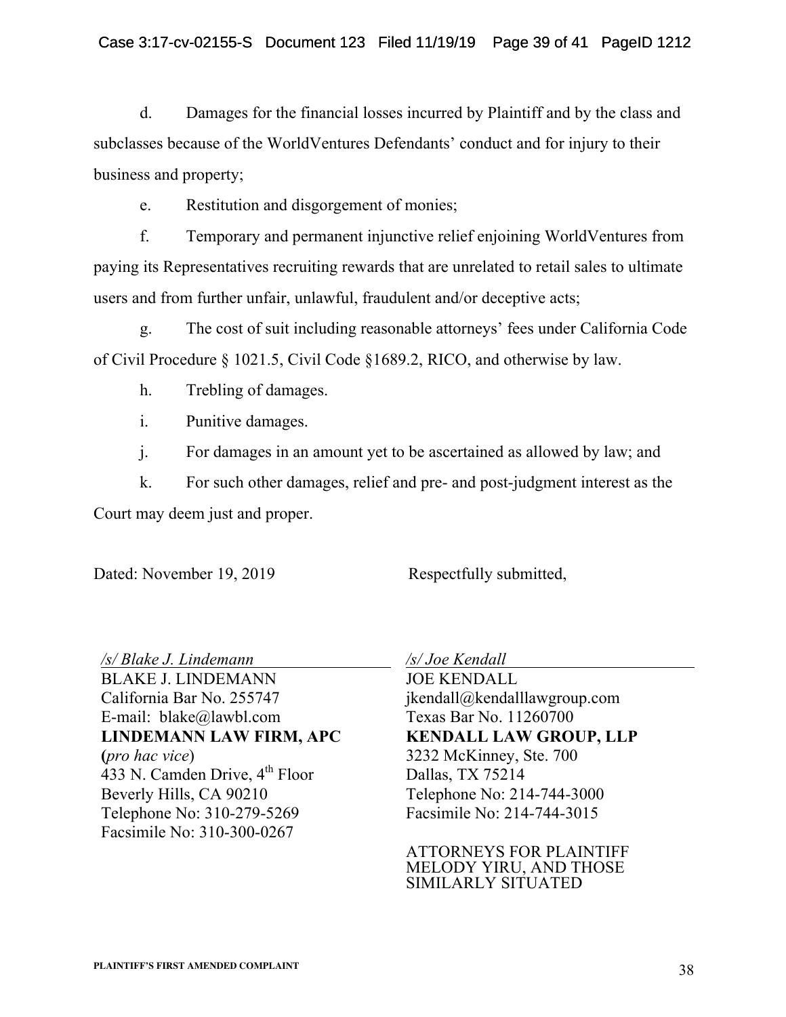d. Damages for the financial losses incurred by Plaintiff and by the class and subclasses because of the WorldVentures Defendants' conduct and for injury to their business and property;

e. Restitution and disgorgement of monies;

f. Temporary and permanent injunctive relief enjoining WorldVentures from paying its Representatives recruiting rewards that are unrelated to retail sales to ultimate users and from further unfair, unlawful, fraudulent and/or deceptive acts;

g. The cost of suit including reasonable attorneys' fees under California Code of Civil Procedure § 1021.5, Civil Code §1689.2, RICO, and otherwise by law.

h. Trebling of damages.

i. Punitive damages.

j. For damages in an amount yet to be ascertained as allowed by law; and

k. For such other damages, relief and pre- and post-judgment interest as the Court may deem just and proper.

Dated: November 19, 2019 Respectfully submitted,

*/s/ Blake J. Lindemann* BLAKE J. LINDEMANN California Bar No. 255747 E-mail: blake@lawbl.com **LINDEMANN LAW FIRM, APC (***pro hac vice*)  $433$  N. Camden Drive,  $4<sup>th</sup>$  Floor Beverly Hills, CA 90210 Telephone No: 310-279-5269 Facsimile No: 310-300-0267

*/s/ Joe Kendall*

JOE KENDALL jkendall@kendalllawgroup.com Texas Bar No. 11260700 **KENDALL LAW GROUP, LLP** 3232 McKinney, Ste. 700 Dallas, TX 75214 Telephone No: 214-744-3000 Facsimile No: 214-744-3015

ATTORNEYS FOR PLAINTIFF MELODY YIRU, AND THOSE SIMILARLY SITUATED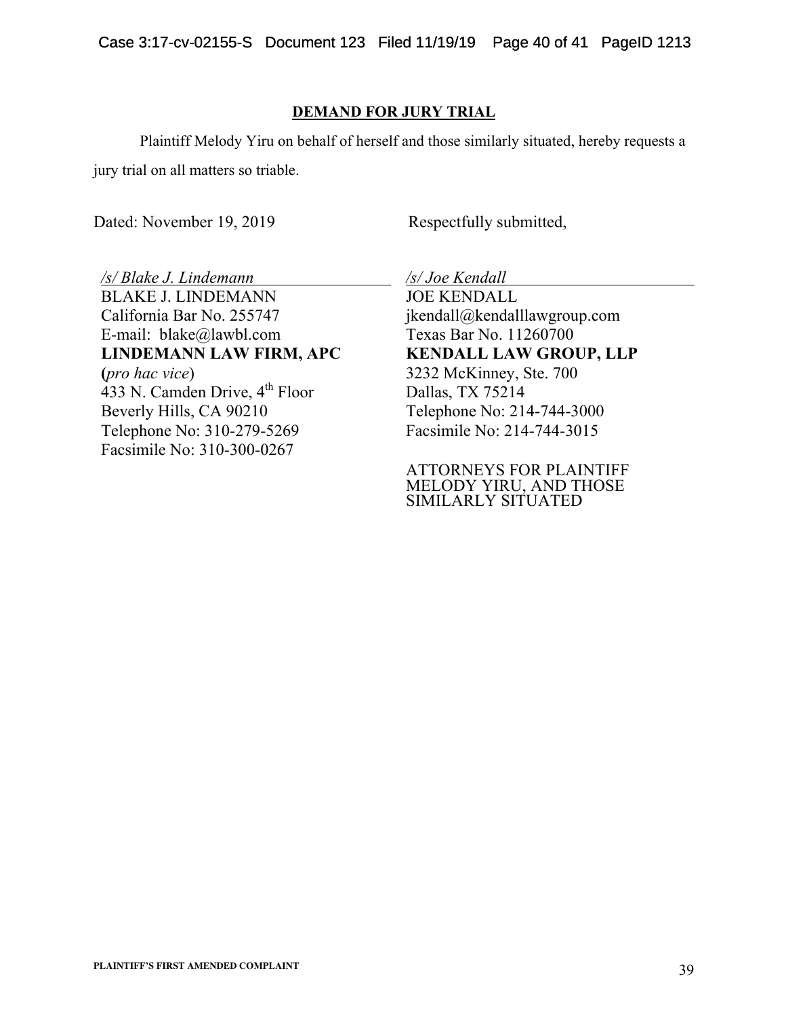## **DEMAND FOR JURY TRIAL**

Plaintiff Melody Yiru on behalf of herself and those similarly situated, hereby requests a jury trial on all matters so triable.

Dated: November 19, 2019 Respectfully submitted,

*/s/ Blake J. Lindemann* BLAKE J. LINDEMANN California Bar No. 255747 E-mail: blake@lawbl.com **LINDEMANN LAW FIRM, APC (***pro hac vice*) 433 N. Camden Drive, 4<sup>th</sup> Floor Beverly Hills, CA 90210 Telephone No: 310-279-5269 Facsimile No: 310-300-0267

*/s/ Joe Kendall*

JOE KENDALL jkendall@kendalllawgroup.com Texas Bar No. 11260700 **KENDALL LAW GROUP, LLP** 3232 McKinney, Ste. 700 Dallas, TX 75214 Telephone No: 214-744-3000 Facsimile No: 214-744-3015

ATTORNEYS FOR PLAINTIFF MELODY YIRU, AND THOSE SIMILARLY SITUATED